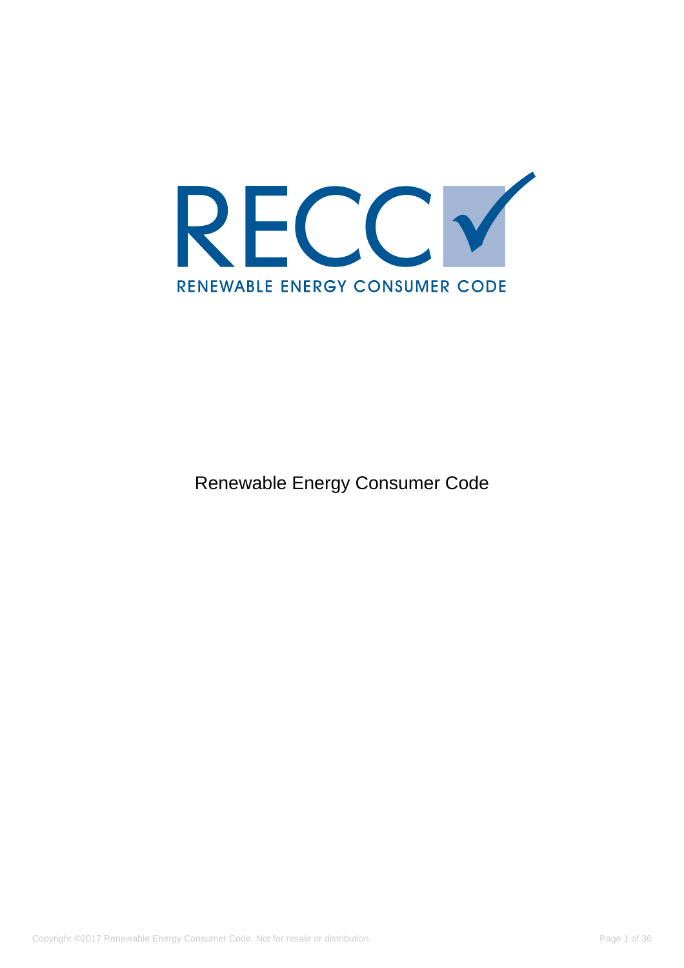

Renewable Energy Consumer Code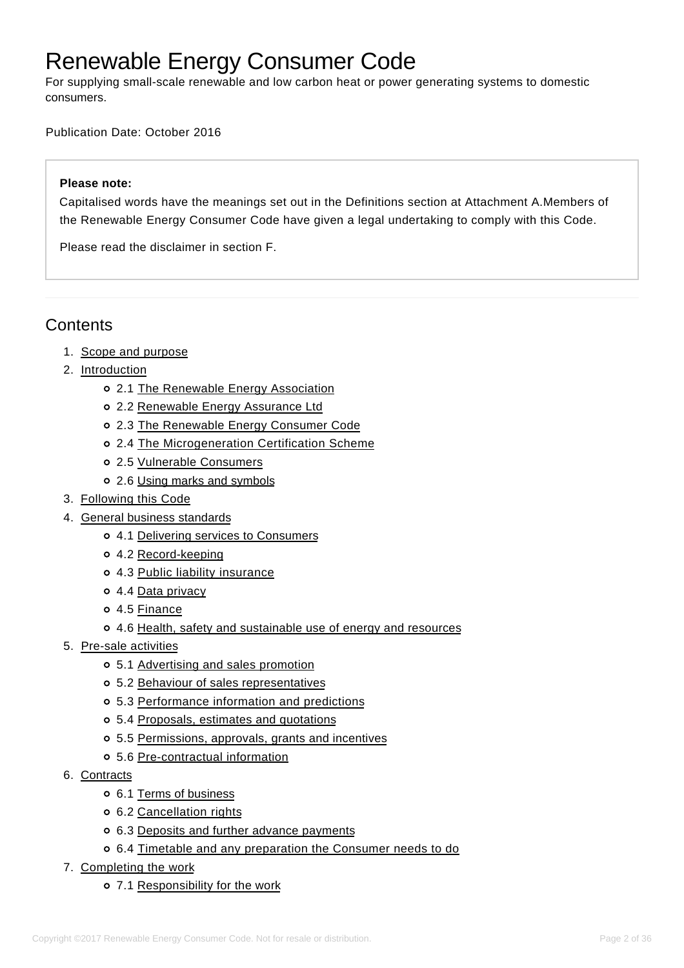# Renewable Energy Consumer Code

For supplying small-scale renewable and low carbon heat or power generating systems to domestic consumers.

Publication Date: October 2016

#### **Please note:**

Capitalised words have the meanings set out in the Definitions section at Attachment A.Members of the Renewable Energy Consumer Code have given a legal undertaking to comply with this Code.

Please read the disclaimer in section F.

# **Contents**

- 1. [Scope and purpose](#page-2-0)
- 2. <u>[Introduction](#page-3-0)</u>
	- 2.1 [The Renewable Energy Association](#page-3-1)
	- 2.2 [Renewable Energy Assurance Ltd](#page-3-2)
	- 2.3 [The Renewable Energy Consumer Code](#page-3-3)
	- 2.4 [The Microgeneration Certification Scheme](#page-4-0)
	- 2.5 [Vulnerable Consumers](#page-5-0)
	- 2.6 [Using marks and symbols](#page-5-1)
- 3. [Following this Code](#page-5-2)
- 4. [General business standards](#page-6-0)
	- 4.1 [Delivering services to Consumers](#page-6-1)
	- 4.2 [Record-keeping](#page-7-0)
	- 4.3 [Public liability insurance](#page-7-1)
	- o 4.4 [Data privacy](#page-7-2)
	- 4.5 [Finance](#page-7-3)
	- 4.6 [Health, safety and sustainable use of energy and resources](#page-7-4)
- 5. [Pre-sale activities](#page-8-0)
	- 5.1 [Advertising and sales promotion](#page-8-1)
	- 5.2 [Behaviour of sales representatives](#page-9-0)
	- 5.3 [Performance information and predictions](#page-10-0)
	- 5.4 [Proposals, estimates and quotations](#page-12-0)
	- 5.5 [Permissions, approvals, grants and incentives](#page-14-0)
	- 5.6 [Pre-contractual information](#page-14-1)
- 6. <u>[Contracts](#page-15-0)</u>
	- 6.1 [Terms of business](#page-15-1)
	- 6.2 [Cancellation rights](#page-16-0)
	- 6.3 [Deposits and further advance payments](#page-18-0)
	- 6.4 [Timetable and any preparation the Consumer needs to do](#page-19-0)
- 7. [Completing the work](#page-19-1)
	- 7.1 [Responsibility for the work](#page-19-2)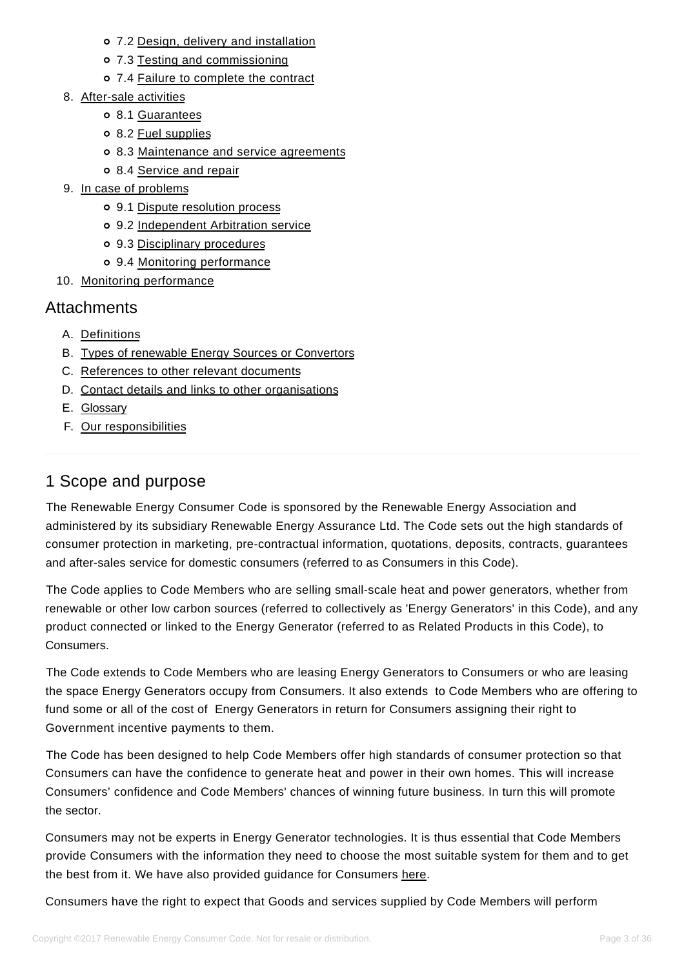- 7.2 [Design, delivery and installation](#page-20-0)
- 7.3 [Testing and commissioning](#page-20-1)
- 7.4 [Failure to complete the contract](#page-21-0)
- 8. [After-sale activities](#page-21-1)
	- 8.1 [Guarantees](#page-21-2)
	- 8.2 [Fuel supplies](#page-22-0)
	- 8.3 [Maintenance and service agreements](#page-22-1)
	- 8.4 [Service and repair](#page-23-0)
- 9. [In case of problems](#page-23-1)
	- 9.1 [Dispute resolution process](#page-23-2)
	- 9.2 [Independent Arbitration service](#page-24-0)
	- 9.3 [Disciplinary procedures](#page-25-0)
	- 9.4 [Monitoring performance](https://www.recc.org.uk/scheme/consumer-code#tag9.4)
- 10. [Monitoring performance](#page-25-1)

# **Attachments**

- A. [Definitions](#page-25-2)
- B. [Types of renewable Energy Sources or Convertors](#page-27-0)
- C. [References to other relevant documents](#page-28-0)
- D. [Contact details and links to other organisations](#page-29-0)
- E. [Glossary](#page-34-0)
- F. [Our responsibilities](#page-34-1)

# 1 Scope and purpose

<span id="page-2-0"></span>The Renewable Energy Consumer Code is sponsored by the Renewable Energy Association and administered by its subsidiary Renewable Energy Assurance Ltd. The Code sets out the high standards of consumer protection in marketing, pre-contractual information, quotations, deposits, contracts, guarantees and after-sales service for domestic consumers (referred to as Consumers in this Code).

The Code applies to Code Members who are selling small-scale heat and power generators, whether from renewable or other low carbon sources (referred to collectively as 'Energy Generators' in this Code), and any product connected or linked to the Energy Generator (referred to as Related Products in this Code), to Consumers.

The Code extends to Code Members who are leasing Energy Generators to Consumers or who are leasing the space Energy Generators occupy from Consumers. It also extends to Code Members who are offering to fund some or all of the cost of Energy Generators in return for Consumers assigning their right to Government incentive payments to them.

The Code has been designed to help Code Members offer high standards of consumer protection so that Consumers can have the confidence to generate heat and power in their own homes. This will increase Consumers' confidence and Code Members' chances of winning future business. In turn this will promote the sector.

Consumers may not be experts in Energy Generator technologies. It is thus essential that Code Members provide Consumers with the information they need to choose the most suitable system for them and to get the best from it. We have also provided guidance for Consumers [here.](https://www.recc.org.uk/consumers)

Consumers have the right to expect that Goods and services supplied by Code Members will perform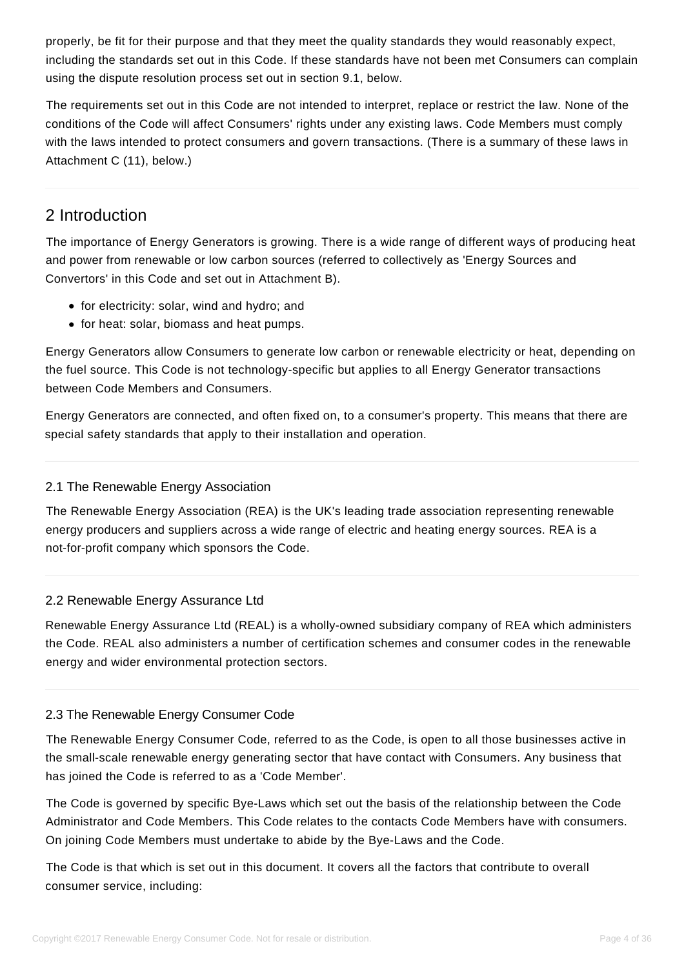properly, be fit for their purpose and that they meet the quality standards they would reasonably expect, including the standards set out in this Code. If these standards have not been met Consumers can complain using the dispute resolution process set out in section 9.1, below.

The requirements set out in this Code are not intended to interpret, replace or restrict the law. None of the conditions of the Code will affect Consumers' rights under any existing laws. Code Members must comply with the laws intended to protect consumers and govern transactions. (There is a summary of these laws in Attachment C (11), below.)

# 2 Introduction

<span id="page-3-0"></span>The importance of Energy Generators is growing. There is a wide range of different ways of producing heat and power from renewable or low carbon sources (referred to collectively as 'Energy Sources and Convertors' in this Code and set out in Attachment B).

- for electricity: solar, wind and hydro; and
- for heat: solar, biomass and heat pumps.

Energy Generators allow Consumers to generate low carbon or renewable electricity or heat, depending on the fuel source. This Code is not technology-specific but applies to all Energy Generator transactions between Code Members and Consumers.

Energy Generators are connected, and often fixed on, to a consumer's property. This means that there are special safety standards that apply to their installation and operation.

# 2.1 The Renewable Energy Association

<span id="page-3-1"></span>The Renewable Energy Association (REA) is the UK's leading trade association representing renewable energy producers and suppliers across a wide range of electric and heating energy sources. REA is a not-for-profit company which sponsors the Code.

### 2.2 Renewable Energy Assurance Ltd

<span id="page-3-2"></span>Renewable Energy Assurance Ltd (REAL) is a wholly-owned subsidiary company of REA which administers the Code. REAL also administers a number of certification schemes and consumer codes in the renewable energy and wider environmental protection sectors.

### 2.3 The Renewable Energy Consumer Code

The Renewable Energy Consumer Code, referred to as the Code, is open to all those businesses active in the small-scale renewable energy generating sector that have contact with Consumers. Any business that has joined the Code is referred to as a 'Code Member'.

<span id="page-3-3"></span>The Code is governed by specific Bye-Laws which set out the basis of the relationship between the Code Administrator and Code Members. This Code relates to the contacts Code Members have with consumers. On joining Code Members must undertake to abide by the Bye-Laws and the Code.

The Code is that which is set out in this document. It covers all the factors that contribute to overall consumer service, including: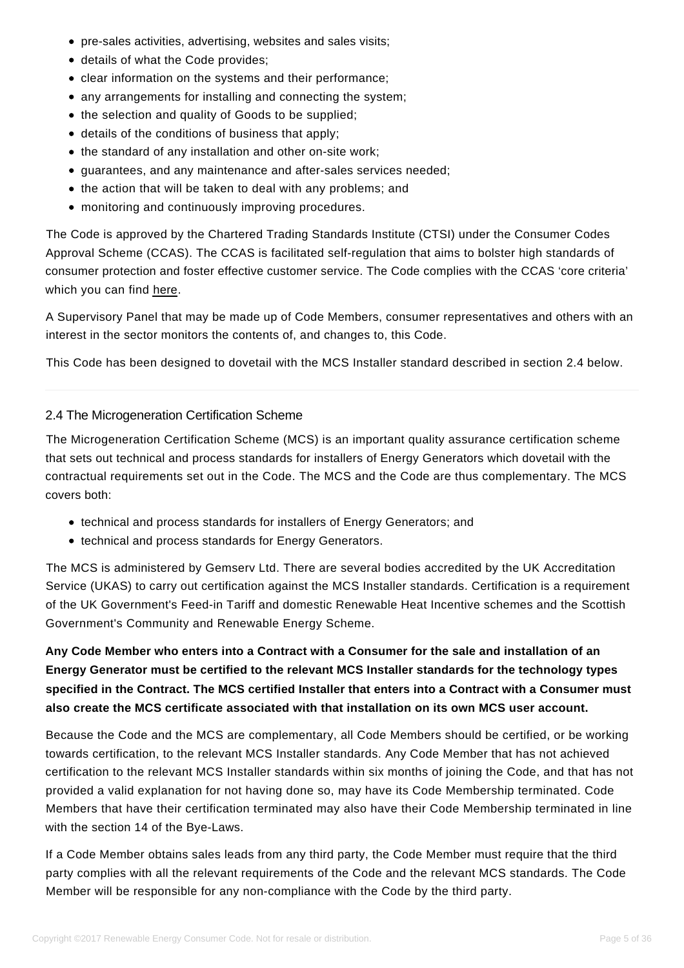- pre-sales activities, advertising, websites and sales visits;
- details of what the Code provides;
- clear information on the systems and their performance;
- any arrangements for installing and connecting the system;
- the selection and quality of Goods to be supplied;
- details of the conditions of business that apply;
- the standard of any installation and other on-site work;
- guarantees, and any maintenance and after-sales services needed;
- the action that will be taken to deal with any problems; and
- monitoring and continuously improving procedures.

The Code is approved by the Chartered Trading Standards Institute (CTSI) under the Consumer Codes Approval Scheme (CCAS). The CCAS is facilitated self-regulation that aims to bolster high standards of consumer protection and foster effective customer service. The Code complies with the CCAS 'core criteria' which you can find [here.](https://www.recc.org.uk/pdf/tsi-ccas-core-criteria-and-guidance.pdf)

A Supervisory Panel that may be made up of Code Members, consumer representatives and others with an interest in the sector monitors the contents of, and changes to, this Code.

This Code has been designed to dovetail with the MCS Installer standard described in section 2.4 below.

# 2.4 The Microgeneration Certification Scheme

<span id="page-4-0"></span>The Microgeneration Certification Scheme (MCS) is an important quality assurance certification scheme that sets out technical and process standards for installers of Energy Generators which dovetail with the contractual requirements set out in the Code. The MCS and the Code are thus complementary. The MCS covers both:

- technical and process standards for installers of Energy Generators; and
- technical and process standards for Energy Generators.

The MCS is administered by Gemserv Ltd. There are several bodies accredited by the UK Accreditation Service (UKAS) to carry out certification against the MCS Installer standards. Certification is a requirement of the UK Government's Feed-in Tariff and domestic Renewable Heat Incentive schemes and the Scottish Government's Community and Renewable Energy Scheme.

**Any Code Member who enters into a Contract with a Consumer for the sale and installation of an Energy Generator must be certified to the relevant MCS Installer standards for the technology types specified in the Contract. The MCS certified Installer that enters into a Contract with a Consumer must also create the MCS certificate associated with that installation on its own MCS user account.**

Because the Code and the MCS are complementary, all Code Members should be certified, or be working towards certification, to the relevant MCS Installer standards. Any Code Member that has not achieved certification to the relevant MCS Installer standards within six months of joining the Code, and that has not provided a valid explanation for not having done so, may have its Code Membership terminated. Code Members that have their certification terminated may also have their Code Membership terminated in line with the section 14 of the Bye-Laws.

If a Code Member obtains sales leads from any third party, the Code Member must require that the third party complies with all the relevant requirements of the Code and the relevant MCS standards. The Code Member will be responsible for any non-compliance with the Code by the third party.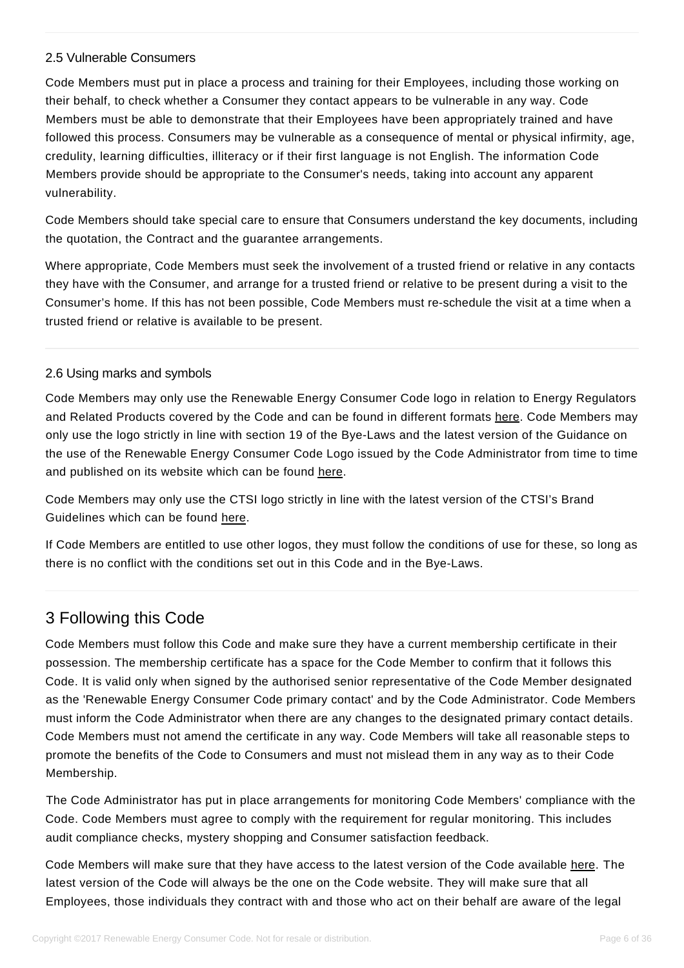#### 2.5 Vulnerable Consumers

<span id="page-5-0"></span>Code Members must put in place a process and training for their Employees, including those working on their behalf, to check whether a Consumer they contact appears to be vulnerable in any way. Code Members must be able to demonstrate that their Employees have been appropriately trained and have followed this process. Consumers may be vulnerable as a consequence of mental or physical infirmity, age, credulity, learning difficulties, illiteracy or if their first language is not English. The information Code Members provide should be appropriate to the Consumer's needs, taking into account any apparent vulnerability.

Code Members should take special care to ensure that Consumers understand the key documents, including the quotation, the Contract and the guarantee arrangements.

Where appropriate, Code Members must seek the involvement of a trusted friend or relative in any contacts they have with the Consumer, and arrange for a trusted friend or relative to be present during a visit to the Consumer's home. If this has not been possible, Code Members must re-schedule the visit at a time when a trusted friend or relative is available to be present.

### 2.6 Using marks and symbols

<span id="page-5-1"></span>Code Members may only use the Renewable Energy Consumer Code logo in relation to Energy Regulators and Related Products covered by the Code and can be found in different formats [here.](https://www.recc.org.uk/member/logos) Code Members may only use the logo strictly in line with section 19 of the Bye-Laws and the latest version of the Guidance on the use of the Renewable Energy Consumer Code Logo issued by the Code Administrator from time to time and published on its website which can be found [here.](https://www.recc.org.uk/pdf/guidance-on-use-of-the-logo.pdf)

Code Members may only use the CTSI logo strictly in line with the latest version of the CTSI's Brand Guidelines which can be found [here.](https://www.recc.org.uk/pdf/tsi-approved-code-brand-guide.pdf)

If Code Members are entitled to use other logos, they must follow the conditions of use for these, so long as there is no conflict with the conditions set out in this Code and in the Bye-Laws.

# 3 Following this Code

<span id="page-5-2"></span>Code Members must follow this Code and make sure they have a current membership certificate in their possession. The membership certificate has a space for the Code Member to confirm that it follows this Code. It is valid only when signed by the authorised senior representative of the Code Member designated as the 'Renewable Energy Consumer Code primary contact' and by the Code Administrator. Code Members must inform the Code Administrator when there are any changes to the designated primary contact details. Code Members must not amend the certificate in any way. Code Members will take all reasonable steps to promote the benefits of the Code to Consumers and must not mislead them in any way as to their Code Membership.

The Code Administrator has put in place arrangements for monitoring Code Members' compliance with the Code. Code Members must agree to comply with the requirement for regular monitoring. This includes audit compliance checks, mystery shopping and Consumer satisfaction feedback.

Code Members will make sure that they have access to the latest version of the Code available [here.](https://www.recc.org.uk/) The latest version of the Code will always be the one on the Code website. They will make sure that all Employees, those individuals they contract with and those who act on their behalf are aware of the legal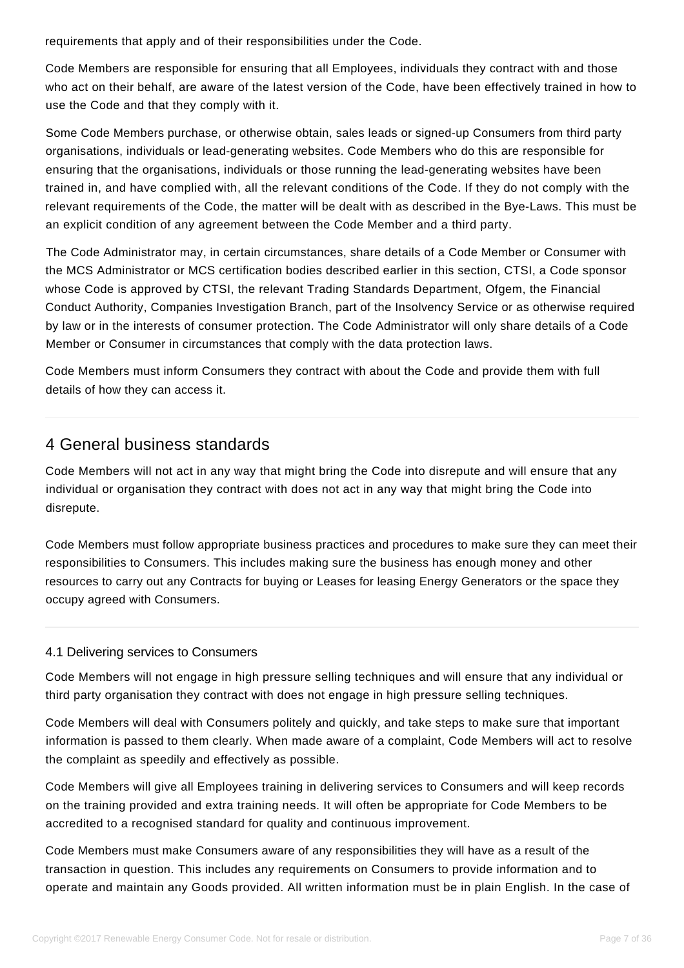requirements that apply and of their responsibilities under the Code.

Code Members are responsible for ensuring that all Employees, individuals they contract with and those who act on their behalf, are aware of the latest version of the Code, have been effectively trained in how to use the Code and that they comply with it.

Some Code Members purchase, or otherwise obtain, sales leads or signed-up Consumers from third party organisations, individuals or lead-generating websites. Code Members who do this are responsible for ensuring that the organisations, individuals or those running the lead-generating websites have been trained in, and have complied with, all the relevant conditions of the Code. If they do not comply with the relevant requirements of the Code, the matter will be dealt with as described in the Bye-Laws. This must be an explicit condition of any agreement between the Code Member and a third party.

The Code Administrator may, in certain circumstances, share details of a Code Member or Consumer with the MCS Administrator or MCS certification bodies described earlier in this section, CTSI, a Code sponsor whose Code is approved by CTSI, the relevant Trading Standards Department, Ofgem, the Financial Conduct Authority, Companies Investigation Branch, part of the Insolvency Service or as otherwise required by law or in the interests of consumer protection. The Code Administrator will only share details of a Code Member or Consumer in circumstances that comply with the data protection laws.

Code Members must inform Consumers they contract with about the Code and provide them with full details of how they can access it.

# 4 General business standards

<span id="page-6-0"></span>Code Members will not act in any way that might bring the Code into disrepute and will ensure that any individual or organisation they contract with does not act in any way that might bring the Code into disrepute.

Code Members must follow appropriate business practices and procedures to make sure they can meet their responsibilities to Consumers. This includes making sure the business has enough money and other resources to carry out any Contracts for buying or Leases for leasing Energy Generators or the space they occupy agreed with Consumers.

# 4.1 Delivering services to Consumers

Code Members will not engage in high pressure selling techniques and will ensure that any individual or third party organisation they contract with does not engage in high pressure selling techniques.

<span id="page-6-1"></span>Code Members will deal with Consumers politely and quickly, and take steps to make sure that important information is passed to them clearly. When made aware of a complaint, Code Members will act to resolve the complaint as speedily and effectively as possible.

Code Members will give all Employees training in delivering services to Consumers and will keep records on the training provided and extra training needs. It will often be appropriate for Code Members to be accredited to a recognised standard for quality and continuous improvement.

Code Members must make Consumers aware of any responsibilities they will have as a result of the transaction in question. This includes any requirements on Consumers to provide information and to operate and maintain any Goods provided. All written information must be in plain English. In the case of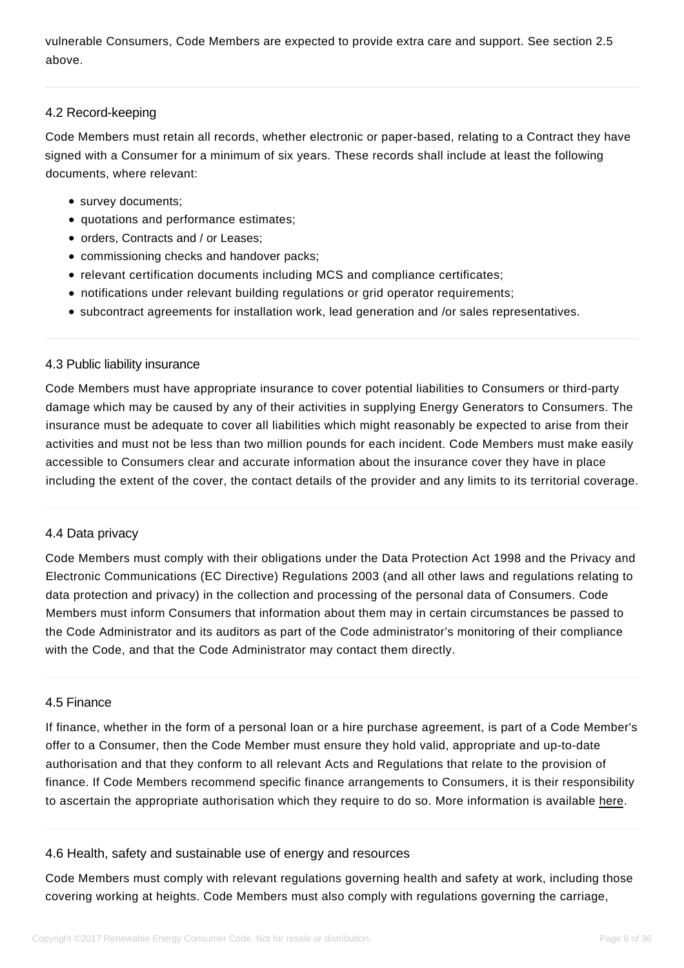vulnerable Consumers, Code Members are expected to provide extra care and support. See section 2.5 above.

### 4.2 Record-keeping

<span id="page-7-0"></span>Code Members must retain all records, whether electronic or paper-based, relating to a Contract they have signed with a Consumer for a minimum of six years. These records shall include at least the following documents, where relevant:

- survey documents;
- quotations and performance estimates;
- orders, Contracts and / or Leases;
- commissioning checks and handover packs;
- relevant certification documents including MCS and compliance certificates;
- notifications under relevant building regulations or grid operator requirements;
- subcontract agreements for installation work, lead generation and /or sales representatives.

### 4.3 Public liability insurance

<span id="page-7-1"></span>Code Members must have appropriate insurance to cover potential liabilities to Consumers or third-party damage which may be caused by any of their activities in supplying Energy Generators to Consumers. The insurance must be adequate to cover all liabilities which might reasonably be expected to arise from their activities and must not be less than two million pounds for each incident. Code Members must make easily accessible to Consumers clear and accurate information about the insurance cover they have in place including the extent of the cover, the contact details of the provider and any limits to its territorial coverage.

### 4.4 Data privacy

<span id="page-7-2"></span>Code Members must comply with their obligations under the Data Protection Act 1998 and the Privacy and Electronic Communications (EC Directive) Regulations 2003 (and all other laws and regulations relating to data protection and privacy) in the collection and processing of the personal data of Consumers. Code Members must inform Consumers that information about them may in certain circumstances be passed to the Code Administrator and its auditors as part of the Code administrator's monitoring of their compliance with the Code, and that the Code Administrator may contact them directly.

### 4.5 Finance

<span id="page-7-3"></span>If finance, whether in the form of a personal loan or a hire purchase agreement, is part of a Code Member's offer to a Consumer, then the Code Member must ensure they hold valid, appropriate and up-to-date authorisation and that they conform to all relevant Acts and Regulations that relate to the provision of finance. If Code Members recommend specific finance arrangements to Consumers, it is their responsibility to ascertain the appropriate authorisation which they require to do so. More information is available [here.](https://www.the-fca.org.uk/firms/consumer-credit)

### 4.6 Health, safety and sustainable use of energy and resources

<span id="page-7-4"></span>Code Members must comply with relevant regulations governing health and safety at work, including those covering working at heights. Code Members must also comply with regulations governing the carriage,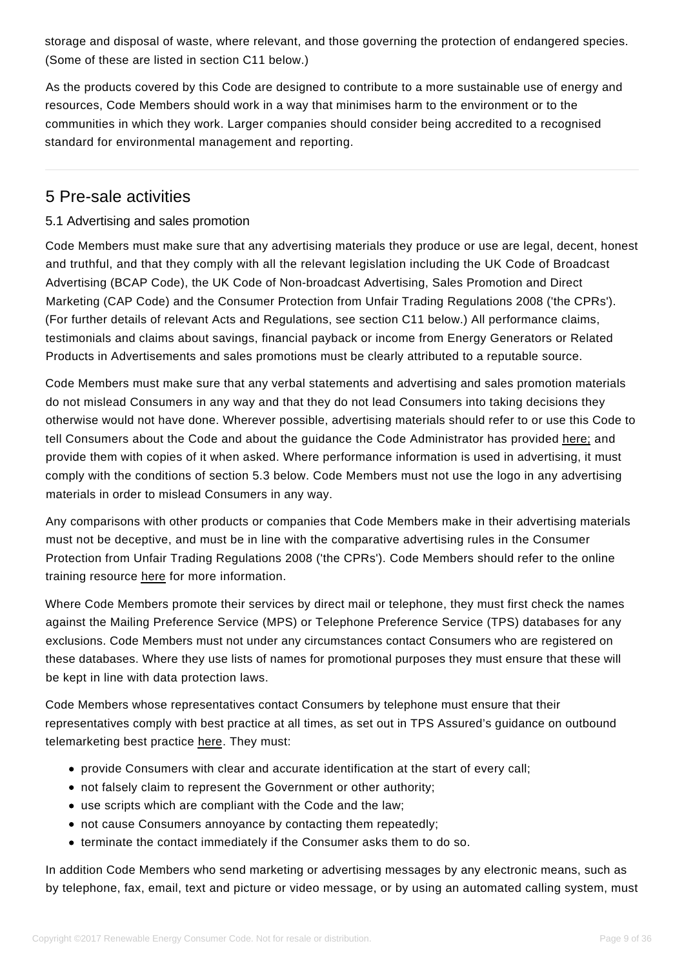storage and disposal of waste, where relevant, and those governing the protection of endangered species. (Some of these are listed in section C11 below.)

As the products covered by this Code are designed to contribute to a more sustainable use of energy and resources, Code Members should work in a way that minimises harm to the environment or to the communities in which they work. Larger companies should consider being accredited to a recognised standard for environmental management and reporting.

# 5 Pre-sale activities

# 5.1 Advertising and sales promotion

<span id="page-8-1"></span><span id="page-8-0"></span>Code Members must make sure that any advertising materials they produce or use are legal, decent, honest and truthful, and that they comply with all the relevant legislation including the UK Code of Broadcast Advertising (BCAP Code), the UK Code of Non-broadcast Advertising, Sales Promotion and Direct Marketing (CAP Code) and the Consumer Protection from Unfair Trading Regulations 2008 ('the CPRs'). (For further details of relevant Acts and Regulations, see section C11 below.) All performance claims, testimonials and claims about savings, financial payback or income from Energy Generators or Related Products in Advertisements and sales promotions must be clearly attributed to a reputable source.

Code Members must make sure that any verbal statements and advertising and sales promotion materials do not mislead Consumers in any way and that they do not lead Consumers into taking decisions they otherwise would not have done. Wherever possible, advertising materials should refer to or use this Code to tell Consumers about the Code and about the guidance the Code Administrator has provided [here;](https://www.recc.org.uk/members/guidance-and-model-documents) and provide them with copies of it when asked. Where performance information is used in advertising, it must comply with the conditions of section 5.3 below. Code Members must not use the logo in any advertising materials in order to mislead Consumers in any way.

Any comparisons with other products or companies that Code Members make in their advertising materials must not be deceptive, and must be in line with the comparative advertising rules in the Consumer Protection from Unfair Trading Regulations 2008 ('the CPRs'). Code Members should refer to the online training resource [here](https://www.recc.org.uk/member) for more information.

Where Code Members promote their services by direct mail or telephone, they must first check the names against the Mailing Preference Service (MPS) or Telephone Preference Service (TPS) databases for any exclusions. Code Members must not under any circumstances contact Consumers who are registered on these databases. Where they use lists of names for promotional purposes they must ensure that these will be kept in line with data protection laws.

Code Members whose representatives contact Consumers by telephone must ensure that their representatives comply with best practice at all times, as set out in TPS Assured's guidance on outbound telemarketing best practice [here.](https://www.recc.org.uk/member/training) They must:

- provide Consumers with clear and accurate identification at the start of every call;
- not falsely claim to represent the Government or other authority;
- use scripts which are compliant with the Code and the law;
- not cause Consumers annoyance by contacting them repeatedly;
- terminate the contact immediately if the Consumer asks them to do so.

In addition Code Members who send marketing or advertising messages by any electronic means, such as by telephone, fax, email, text and picture or video message, or by using an automated calling system, must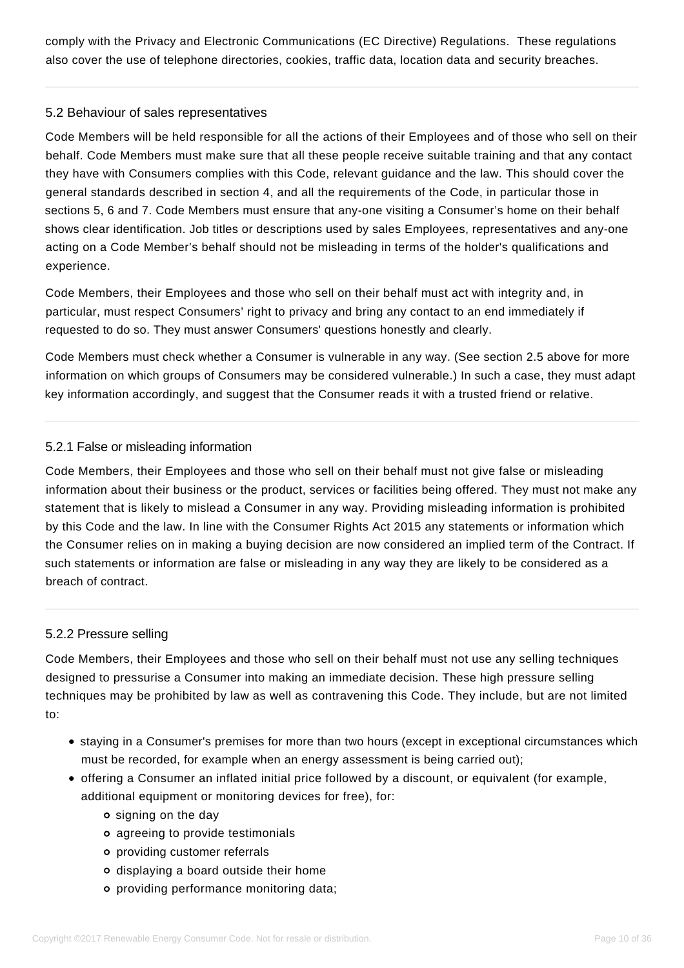comply with the Privacy and Electronic Communications (EC Directive) Regulations. These regulations also cover the use of telephone directories, cookies, traffic data, location data and security breaches.

### 5.2 Behaviour of sales representatives

<span id="page-9-0"></span>Code Members will be held responsible for all the actions of their Employees and of those who sell on their behalf. Code Members must make sure that all these people receive suitable training and that any contact they have with Consumers complies with this Code, relevant guidance and the law. This should cover the general standards described in section 4, and all the requirements of the Code, in particular those in sections 5, 6 and 7. Code Members must ensure that any-one visiting a Consumer's home on their behalf shows clear identification. Job titles or descriptions used by sales Employees, representatives and any-one acting on a Code Member's behalf should not be misleading in terms of the holder's qualifications and experience.

Code Members, their Employees and those who sell on their behalf must act with integrity and, in particular, must respect Consumers' right to privacy and bring any contact to an end immediately if requested to do so. They must answer Consumers' questions honestly and clearly.

Code Members must check whether a Consumer is vulnerable in any way. (See section 2.5 above for more information on which groups of Consumers may be considered vulnerable.) In such a case, they must adapt key information accordingly, and suggest that the Consumer reads it with a trusted friend or relative.

# 5.2.1 False or misleading information

Code Members, their Employees and those who sell on their behalf must not give false or misleading information about their business or the product, services or facilities being offered. They must not make any statement that is likely to mislead a Consumer in any way. Providing misleading information is prohibited by this Code and the law. In line with the Consumer Rights Act 2015 any statements or information which the Consumer relies on in making a buying decision are now considered an implied term of the Contract. If such statements or information are false or misleading in any way they are likely to be considered as a breach of contract.

### 5.2.2 Pressure selling

Code Members, their Employees and those who sell on their behalf must not use any selling techniques designed to pressurise a Consumer into making an immediate decision. These high pressure selling techniques may be prohibited by law as well as contravening this Code. They include, but are not limited to:

- staying in a Consumer's premises for more than two hours (except in exceptional circumstances which must be recorded, for example when an energy assessment is being carried out);
- offering a Consumer an inflated initial price followed by a discount, or equivalent (for example, additional equipment or monitoring devices for free), for:
	- o signing on the day
	- agreeing to provide testimonials
	- providing customer referrals
	- displaying a board outside their home
	- providing performance monitoring data;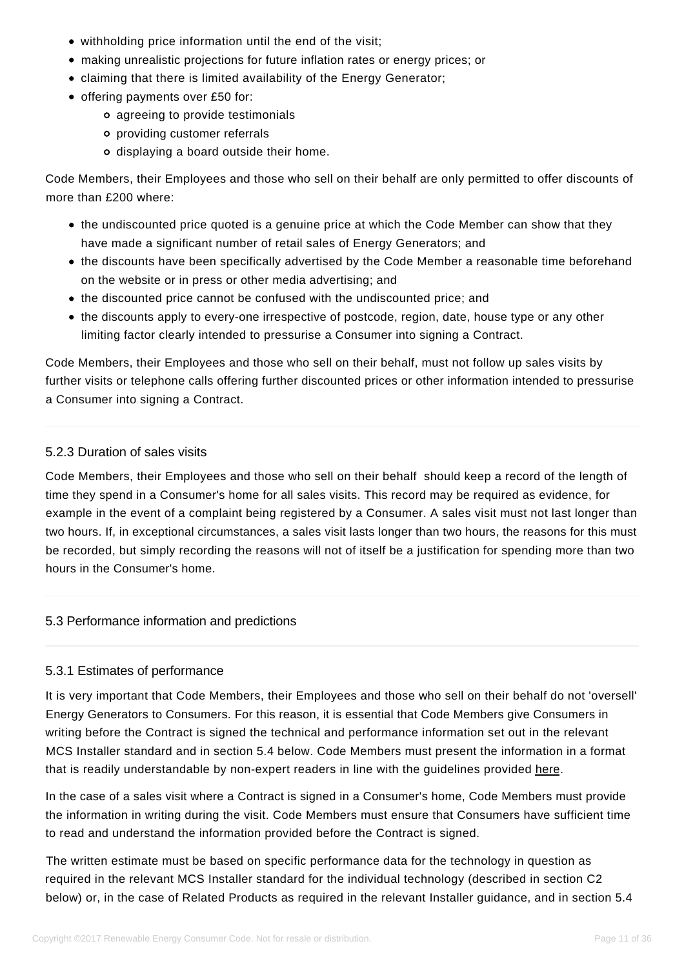- withholding price information until the end of the visit;
- making unrealistic projections for future inflation rates or energy prices; or
- claiming that there is limited availability of the Energy Generator;
- offering payments over £50 for:
	- agreeing to provide testimonials
	- providing customer referrals
	- displaying a board outside their home.

Code Members, their Employees and those who sell on their behalf are only permitted to offer discounts of more than £200 where:

- the undiscounted price quoted is a genuine price at which the Code Member can show that they have made a significant number of retail sales of Energy Generators; and
- the discounts have been specifically advertised by the Code Member a reasonable time beforehand on the website or in press or other media advertising; and
- the discounted price cannot be confused with the undiscounted price; and
- the discounts apply to every-one irrespective of postcode, region, date, house type or any other limiting factor clearly intended to pressurise a Consumer into signing a Contract.

Code Members, their Employees and those who sell on their behalf, must not follow up sales visits by further visits or telephone calls offering further discounted prices or other information intended to pressurise a Consumer into signing a Contract.

#### 5.2.3 Duration of sales visits

Code Members, their Employees and those who sell on their behalf should keep a record of the length of time they spend in a Consumer's home for all sales visits. This record may be required as evidence, for example in the event of a complaint being registered by a Consumer. A sales visit must not last longer than two hours. If, in exceptional circumstances, a sales visit lasts longer than two hours, the reasons for this must be recorded, but simply recording the reasons will not of itself be a justification for spending more than two hours in the Consumer's home.

#### 5.3 Performance information and predictions

#### <span id="page-10-0"></span>5.3.1 Estimates of performance

It is very important that Code Members, their Employees and those who sell on their behalf do not 'oversell' Energy Generators to Consumers. For this reason, it is essential that Code Members give Consumers in writing before the Contract is signed the technical and performance information set out in the relevant MCS Installer standard and in section 5.4 below. Code Members must present the information in a format that is readily understandable by non-expert readers in line with the guidelines provided [here.](https://www.recc.org.uk/member/documents)

In the case of a sales visit where a Contract is signed in a Consumer's home, Code Members must provide the information in writing during the visit. Code Members must ensure that Consumers have sufficient time to read and understand the information provided before the Contract is signed.

The written estimate must be based on specific performance data for the technology in question as required in the relevant MCS Installer standard for the individual technology (described in section C2 below) or, in the case of Related Products as required in the relevant Installer guidance, and in section 5.4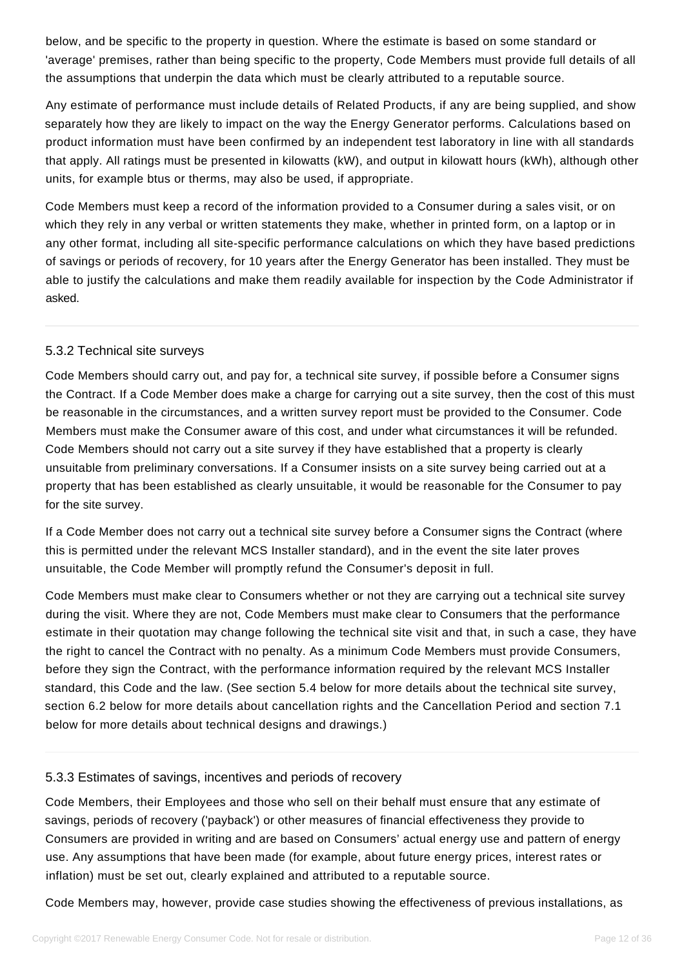below, and be specific to the property in question. Where the estimate is based on some standard or 'average' premises, rather than being specific to the property, Code Members must provide full details of all the assumptions that underpin the data which must be clearly attributed to a reputable source.

Any estimate of performance must include details of Related Products, if any are being supplied, and show separately how they are likely to impact on the way the Energy Generator performs. Calculations based on product information must have been confirmed by an independent test laboratory in line with all standards that apply. All ratings must be presented in kilowatts (kW), and output in kilowatt hours (kWh), although other units, for example btus or therms, may also be used, if appropriate.

Code Members must keep a record of the information provided to a Consumer during a sales visit, or on which they rely in any verbal or written statements they make, whether in printed form, on a laptop or in any other format, including all site-specific performance calculations on which they have based predictions of savings or periods of recovery, for 10 years after the Energy Generator has been installed. They must be able to justify the calculations and make them readily available for inspection by the Code Administrator if asked.

### 5.3.2 Technical site surveys

Code Members should carry out, and pay for, a technical site survey, if possible before a Consumer signs the Contract. If a Code Member does make a charge for carrying out a site survey, then the cost of this must be reasonable in the circumstances, and a written survey report must be provided to the Consumer. Code Members must make the Consumer aware of this cost, and under what circumstances it will be refunded. Code Members should not carry out a site survey if they have established that a property is clearly unsuitable from preliminary conversations. If a Consumer insists on a site survey being carried out at a property that has been established as clearly unsuitable, it would be reasonable for the Consumer to pay for the site survey.

If a Code Member does not carry out a technical site survey before a Consumer signs the Contract (where this is permitted under the relevant MCS Installer standard), and in the event the site later proves unsuitable, the Code Member will promptly refund the Consumer's deposit in full.

Code Members must make clear to Consumers whether or not they are carrying out a technical site survey during the visit. Where they are not, Code Members must make clear to Consumers that the performance estimate in their quotation may change following the technical site visit and that, in such a case, they have the right to cancel the Contract with no penalty. As a minimum Code Members must provide Consumers, before they sign the Contract, with the performance information required by the relevant MCS Installer standard, this Code and the law. (See section 5.4 below for more details about the technical site survey, section 6.2 below for more details about cancellation rights and the Cancellation Period and section 7.1 below for more details about technical designs and drawings.)

### 5.3.3 Estimates of savings, incentives and periods of recovery

Code Members, their Employees and those who sell on their behalf must ensure that any estimate of savings, periods of recovery ('payback') or other measures of financial effectiveness they provide to Consumers are provided in writing and are based on Consumers' actual energy use and pattern of energy use. Any assumptions that have been made (for example, about future energy prices, interest rates or inflation) must be set out, clearly explained and attributed to a reputable source.

Code Members may, however, provide case studies showing the effectiveness of previous installations, as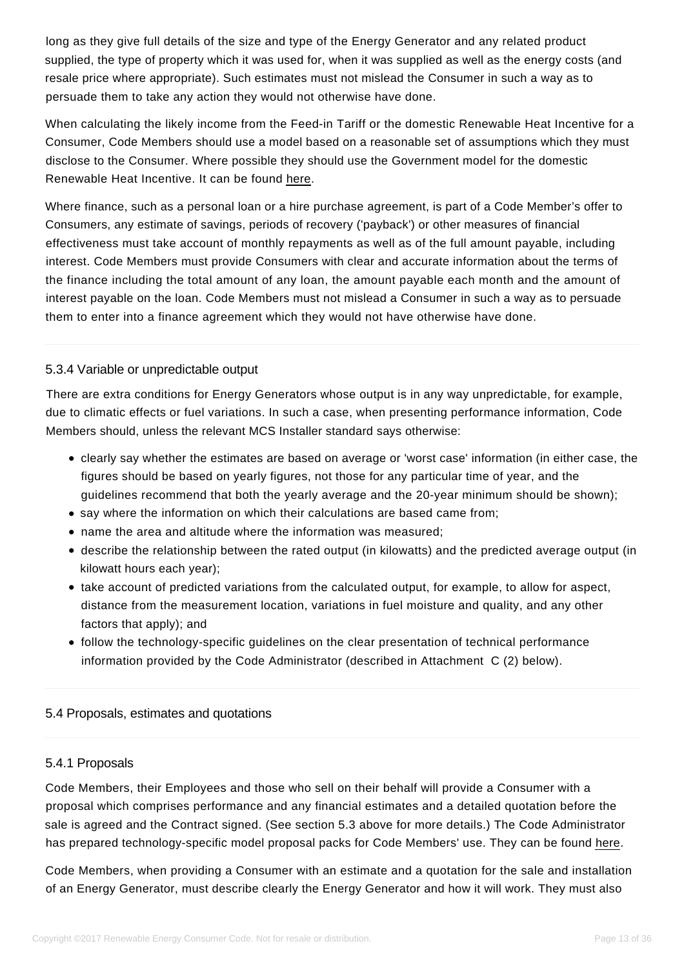long as they give full details of the size and type of the Energy Generator and any related product supplied, the type of property which it was used for, when it was supplied as well as the energy costs (and resale price where appropriate). Such estimates must not mislead the Consumer in such a way as to persuade them to take any action they would not otherwise have done.

When calculating the likely income from the Feed-in Tariff or the domestic Renewable Heat Incentive for a Consumer, Code Members should use a model based on a reasonable set of assumptions which they must disclose to the Consumer. Where possible they should use the Government model for the domestic Renewable Heat Incentive. It can be found [here.](https://www.gov.uk/renewable-heat-incentive-calculator)

Where finance, such as a personal loan or a hire purchase agreement, is part of a Code Member's offer to Consumers, any estimate of savings, periods of recovery ('payback') or other measures of financial effectiveness must take account of monthly repayments as well as of the full amount payable, including interest. Code Members must provide Consumers with clear and accurate information about the terms of the finance including the total amount of any loan, the amount payable each month and the amount of interest payable on the loan. Code Members must not mislead a Consumer in such a way as to persuade them to enter into a finance agreement which they would not have otherwise have done.

# 5.3.4 Variable or unpredictable output

There are extra conditions for Energy Generators whose output is in any way unpredictable, for example, due to climatic effects or fuel variations. In such a case, when presenting performance information, Code Members should, unless the relevant MCS Installer standard says otherwise:

- clearly say whether the estimates are based on average or 'worst case' information (in either case, the figures should be based on yearly figures, not those for any particular time of year, and the guidelines recommend that both the yearly average and the 20-year minimum should be shown);
- say where the information on which their calculations are based came from;
- name the area and altitude where the information was measured;
- describe the relationship between the rated output (in kilowatts) and the predicted average output (in kilowatt hours each year);
- take account of predicted variations from the calculated output, for example, to allow for aspect, distance from the measurement location, variations in fuel moisture and quality, and any other factors that apply); and
- follow the technology-specific guidelines on the clear presentation of technical performance information provided by the Code Administrator (described in Attachment C (2) below).

### 5.4 Proposals, estimates and quotations

### <span id="page-12-0"></span>5.4.1 Proposals

Code Members, their Employees and those who sell on their behalf will provide a Consumer with a proposal which comprises performance and any financial estimates and a detailed quotation before the sale is agreed and the Contract signed. (See section 5.3 above for more details.) The Code Administrator has prepared technology-specific model proposal packs for Code Members' use. They can be found [here.](https://www.recc.org.uk/members/guidance-and-model-documents)

Code Members, when providing a Consumer with an estimate and a quotation for the sale and installation of an Energy Generator, must describe clearly the Energy Generator and how it will work. They must also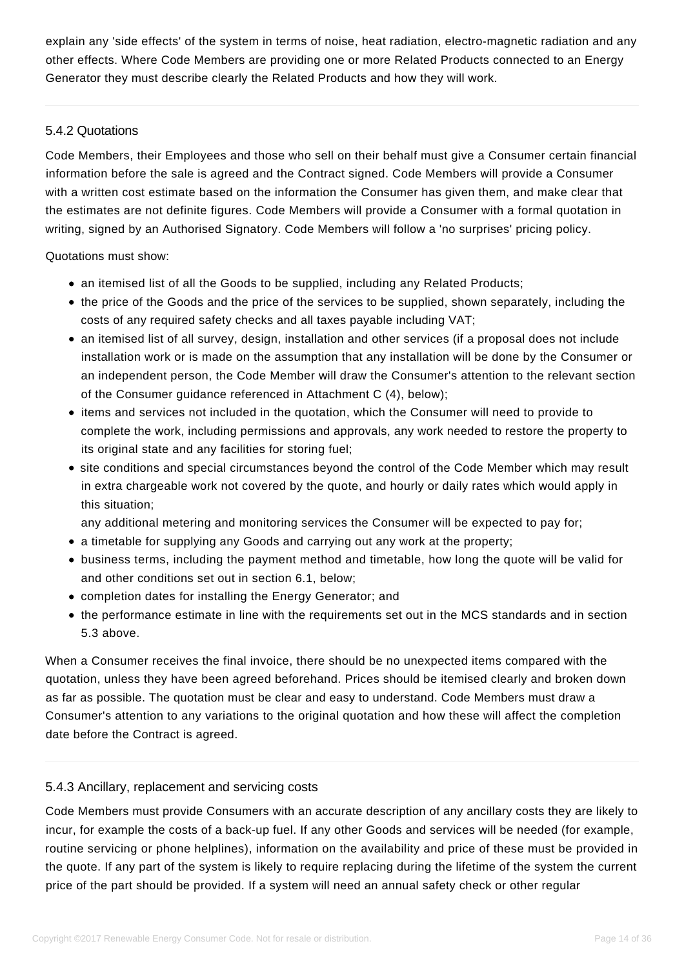explain any 'side effects' of the system in terms of noise, heat radiation, electro-magnetic radiation and any other effects. Where Code Members are providing one or more Related Products connected to an Energy Generator they must describe clearly the Related Products and how they will work.

### 5.4.2 Quotations

Code Members, their Employees and those who sell on their behalf must give a Consumer certain financial information before the sale is agreed and the Contract signed. Code Members will provide a Consumer with a written cost estimate based on the information the Consumer has given them, and make clear that the estimates are not definite figures. Code Members will provide a Consumer with a formal quotation in writing, signed by an Authorised Signatory. Code Members will follow a 'no surprises' pricing policy.

Quotations must show:

- an itemised list of all the Goods to be supplied, including any Related Products;
- the price of the Goods and the price of the services to be supplied, shown separately, including the costs of any required safety checks and all taxes payable including VAT;
- an itemised list of all survey, design, installation and other services (if a proposal does not include installation work or is made on the assumption that any installation will be done by the Consumer or an independent person, the Code Member will draw the Consumer's attention to the relevant section of the Consumer guidance referenced in Attachment C (4), below);
- items and services not included in the quotation, which the Consumer will need to provide to complete the work, including permissions and approvals, any work needed to restore the property to its original state and any facilities for storing fuel;
- site conditions and special circumstances beyond the control of the Code Member which may result in extra chargeable work not covered by the quote, and hourly or daily rates which would apply in this situation;

any additional metering and monitoring services the Consumer will be expected to pay for;

- a timetable for supplying any Goods and carrying out any work at the property;
- business terms, including the payment method and timetable, how long the quote will be valid for and other conditions set out in section 6.1, below;
- completion dates for installing the Energy Generator; and
- the performance estimate in line with the requirements set out in the MCS standards and in section 5.3 above.

When a Consumer receives the final invoice, there should be no unexpected items compared with the quotation, unless they have been agreed beforehand. Prices should be itemised clearly and broken down as far as possible. The quotation must be clear and easy to understand. Code Members must draw a Consumer's attention to any variations to the original quotation and how these will affect the completion date before the Contract is agreed.

### 5.4.3 Ancillary, replacement and servicing costs

Code Members must provide Consumers with an accurate description of any ancillary costs they are likely to incur, for example the costs of a back-up fuel. If any other Goods and services will be needed (for example, routine servicing or phone helplines), information on the availability and price of these must be provided in the quote. If any part of the system is likely to require replacing during the lifetime of the system the current price of the part should be provided. If a system will need an annual safety check or other regular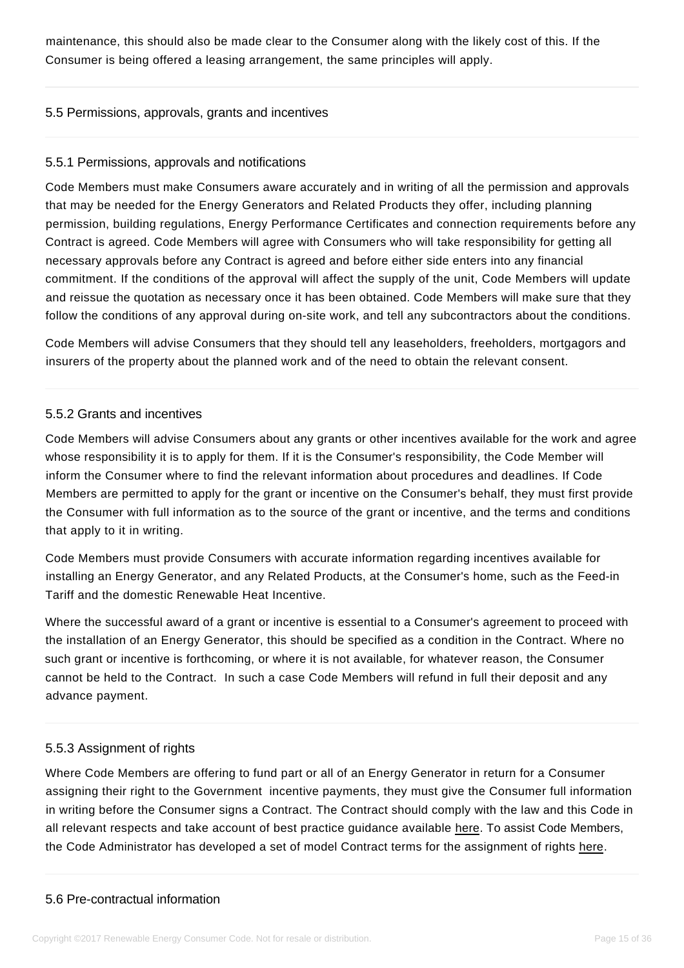maintenance, this should also be made clear to the Consumer along with the likely cost of this. If the Consumer is being offered a leasing arrangement, the same principles will apply.

#### 5.5 Permissions, approvals, grants and incentives

#### 5.5.1 Permissions, approvals and notifications

<span id="page-14-0"></span>Code Members must make Consumers aware accurately and in writing of all the permission and approvals that may be needed for the Energy Generators and Related Products they offer, including planning permission, building regulations, Energy Performance Certificates and connection requirements before any Contract is agreed. Code Members will agree with Consumers who will take responsibility for getting all necessary approvals before any Contract is agreed and before either side enters into any financial commitment. If the conditions of the approval will affect the supply of the unit, Code Members will update and reissue the quotation as necessary once it has been obtained. Code Members will make sure that they follow the conditions of any approval during on-site work, and tell any subcontractors about the conditions.

Code Members will advise Consumers that they should tell any leaseholders, freeholders, mortgagors and insurers of the property about the planned work and of the need to obtain the relevant consent.

#### 5.5.2 Grants and incentives

Code Members will advise Consumers about any grants or other incentives available for the work and agree whose responsibility it is to apply for them. If it is the Consumer's responsibility, the Code Member will inform the Consumer where to find the relevant information about procedures and deadlines. If Code Members are permitted to apply for the grant or incentive on the Consumer's behalf, they must first provide the Consumer with full information as to the source of the grant or incentive, and the terms and conditions that apply to it in writing.

Code Members must provide Consumers with accurate information regarding incentives available for installing an Energy Generator, and any Related Products, at the Consumer's home, such as the Feed-in Tariff and the domestic Renewable Heat Incentive.

Where the successful award of a grant or incentive is essential to a Consumer's agreement to proceed with the installation of an Energy Generator, this should be specified as a condition in the Contract. Where no such grant or incentive is forthcoming, or where it is not available, for whatever reason, the Consumer cannot be held to the Contract. In such a case Code Members will refund in full their deposit and any advance payment.

### 5.5.3 Assignment of rights

Where Code Members are offering to fund part or all of an Energy Generator in return for a Consumer assigning their right to the Government incentive payments, they must give the Consumer full information in writing before the Consumer signs a Contract. The Contract should comply with the law and this Code in all relevant respects and take account of best practice guidance available here. To assist Code Members, the Code Administrator has developed a set of model Contract terms for the assignment of rights here.

### <span id="page-14-1"></span>5.6 Pre-contractual information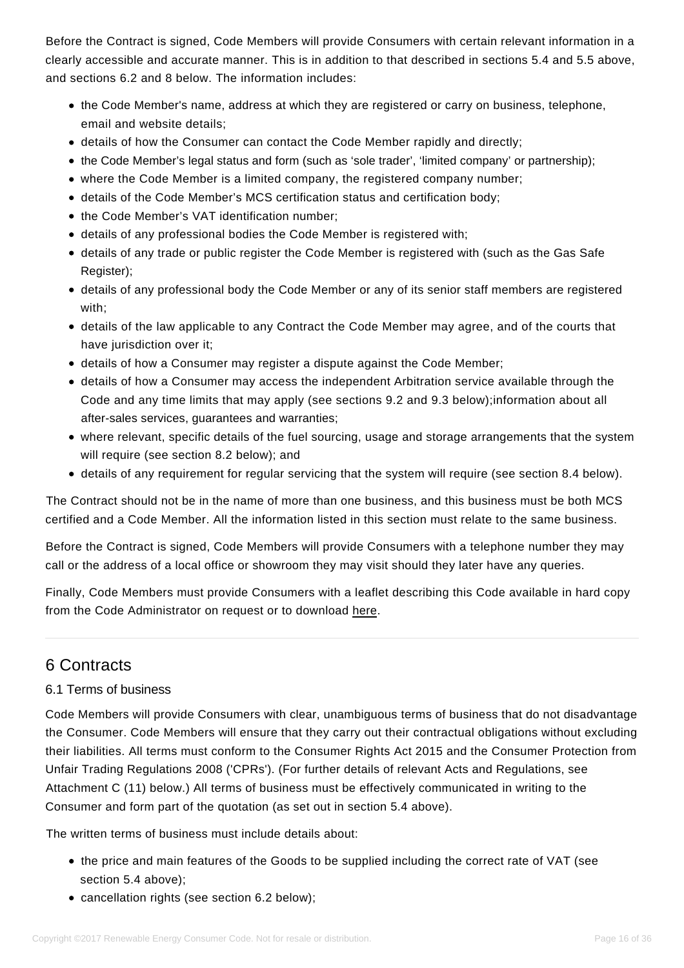Before the Contract is signed, Code Members will provide Consumers with certain relevant information in a clearly accessible and accurate manner. This is in addition to that described in sections 5.4 and 5.5 above, and sections 6.2 and 8 below. The information includes:

- the Code Member's name, address at which they are registered or carry on business, telephone, email and website details;
- details of how the Consumer can contact the Code Member rapidly and directly;
- the Code Member's legal status and form (such as 'sole trader', 'limited company' or partnership);
- where the Code Member is a limited company, the registered company number;
- details of the Code Member's MCS certification status and certification body;
- the Code Member's VAT identification number:
- details of any professional bodies the Code Member is registered with;
- details of any trade or public register the Code Member is registered with (such as the Gas Safe Register):
- details of any professional body the Code Member or any of its senior staff members are registered with;
- details of the law applicable to any Contract the Code Member may agree, and of the courts that have jurisdiction over it;
- details of how a Consumer may register a dispute against the Code Member;
- details of how a Consumer may access the independent Arbitration service available through the Code and any time limits that may apply (see sections 9.2 and 9.3 below);information about all after-sales services, guarantees and warranties;
- where relevant, specific details of the fuel sourcing, usage and storage arrangements that the system will require (see section 8.2 below); and
- details of any requirement for regular servicing that the system will require (see section 8.4 below).

The Contract should not be in the name of more than one business, and this business must be both MCS certified and a Code Member. All the information listed in this section must relate to the same business.

Before the Contract is signed, Code Members will provide Consumers with a telephone number they may call or the address of a local office or showroom they may visit should they later have any queries.

Finally, Code Members must provide Consumers with a leaflet describing this Code available in hard copy from the Code Administrator on request or to download [here.](https://www.recc.org.uk/pdf/consumer-leaflet.pdf)

# 6 Contracts

# 6.1 Terms of business

<span id="page-15-1"></span><span id="page-15-0"></span>Code Members will provide Consumers with clear, unambiguous terms of business that do not disadvantage the Consumer. Code Members will ensure that they carry out their contractual obligations without excluding their liabilities. All terms must conform to the Consumer Rights Act 2015 and the Consumer Protection from Unfair Trading Regulations 2008 ('CPRs'). (For further details of relevant Acts and Regulations, see Attachment C (11) below.) All terms of business must be effectively communicated in writing to the Consumer and form part of the quotation (as set out in section 5.4 above).

The written terms of business must include details about:

- the price and main features of the Goods to be supplied including the correct rate of VAT (see section 5.4 above);
- cancellation rights (see section 6.2 below);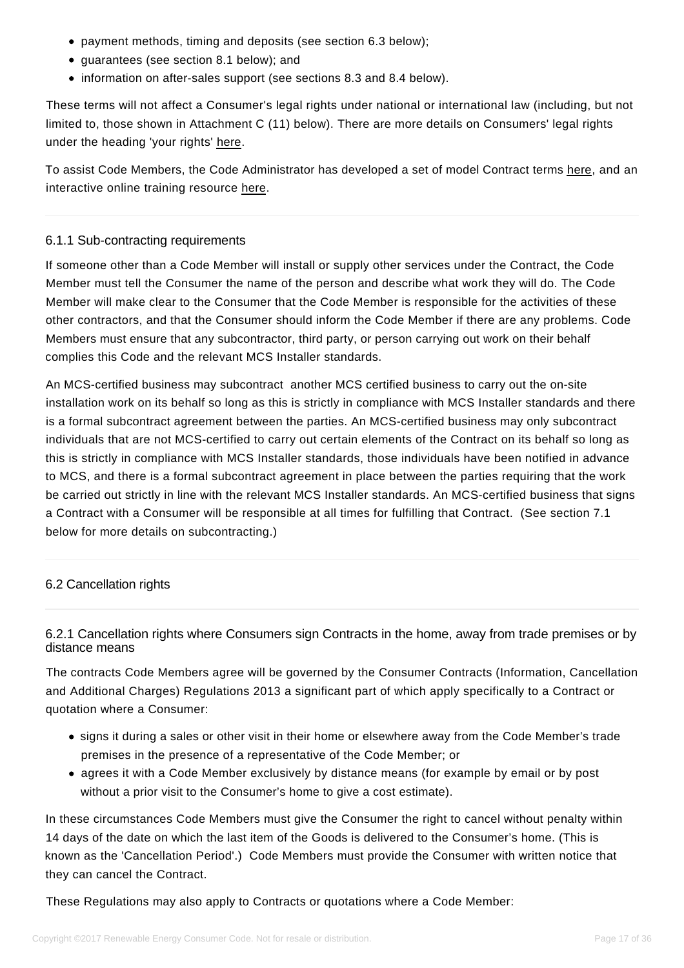- payment methods, timing and deposits (see section 6.3 below);
- guarantees (see section 8.1 below); and
- information on after-sales support (see sections 8.3 and 8.4 below).

These terms will not affect a Consumer's legal rights under national or international law (including, but not limited to, those shown in Attachment C (11) below). There are more details on Consumers' legal rights under the heading 'your rights' [here.](https://www.citizensadvice.org.uk/law-and-rights/)

To assist Code Members, the Code Administrator has developed a set of model Contract terms [here,](https://www.recc.org.uk/member/documents) and an interactive online training resource [here.](https://www.recc.org.uk/member/training)

### 6.1.1 Sub-contracting requirements

If someone other than a Code Member will install or supply other services under the Contract, the Code Member must tell the Consumer the name of the person and describe what work they will do. The Code Member will make clear to the Consumer that the Code Member is responsible for the activities of these other contractors, and that the Consumer should inform the Code Member if there are any problems. Code Members must ensure that any subcontractor, third party, or person carrying out work on their behalf complies this Code and the relevant MCS Installer standards.

An MCS-certified business may subcontract another MCS certified business to carry out the on-site installation work on its behalf so long as this is strictly in compliance with MCS Installer standards and there is a formal subcontract agreement between the parties. An MCS-certified business may only subcontract individuals that are not MCS-certified to carry out certain elements of the Contract on its behalf so long as this is strictly in compliance with MCS Installer standards, those individuals have been notified in advance to MCS, and there is a formal subcontract agreement in place between the parties requiring that the work be carried out strictly in line with the relevant MCS Installer standards. An MCS-certified business that signs a Contract with a Consumer will be responsible at all times for fulfilling that Contract. (See section 7.1 below for more details on subcontracting.)

### 6.2 Cancellation rights

# <span id="page-16-0"></span>6.2.1 Cancellation rights where Consumers sign Contracts in the home, away from trade premises or by distance means

The contracts Code Members agree will be governed by the Consumer Contracts (Information, Cancellation and Additional Charges) Regulations 2013 a significant part of which apply specifically to a Contract or quotation where a Consumer:

- signs it during a sales or other visit in their home or elsewhere away from the Code Member's trade premises in the presence of a representative of the Code Member; or
- agrees it with a Code Member exclusively by distance means (for example by email or by post without a prior visit to the Consumer's home to give a cost estimate).

In these circumstances Code Members must give the Consumer the right to cancel without penalty within 14 days of the date on which the last item of the Goods is delivered to the Consumer's home. (This is known as the 'Cancellation Period'.) Code Members must provide the Consumer with written notice that they can cancel the Contract.

These Regulations may also apply to Contracts or quotations where a Code Member: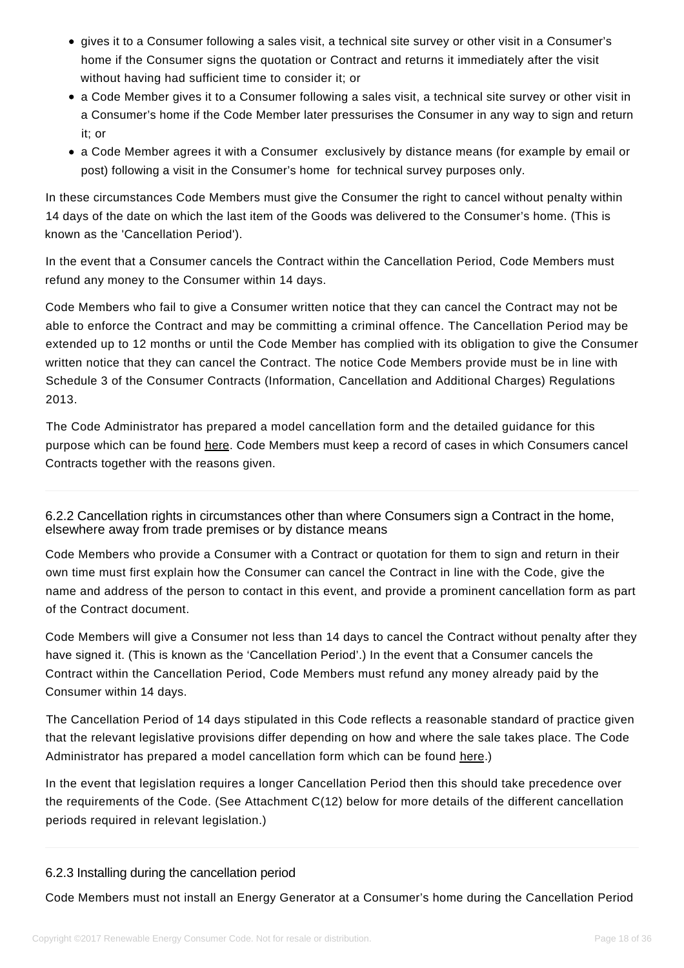- gives it to a Consumer following a sales visit, a technical site survey or other visit in a Consumer's home if the Consumer signs the quotation or Contract and returns it immediately after the visit without having had sufficient time to consider it; or
- a Code Member gives it to a Consumer following a sales visit, a technical site survey or other visit in a Consumer's home if the Code Member later pressurises the Consumer in any way to sign and return it; or
- a Code Member agrees it with a Consumer exclusively by distance means (for example by email or post) following a visit in the Consumer's home for technical survey purposes only.

In these circumstances Code Members must give the Consumer the right to cancel without penalty within 14 days of the date on which the last item of the Goods was delivered to the Consumer's home. (This is known as the 'Cancellation Period').

In the event that a Consumer cancels the Contract within the Cancellation Period, Code Members must refund any money to the Consumer within 14 days.

Code Members who fail to give a Consumer written notice that they can cancel the Contract may not be able to enforce the Contract and may be committing a criminal offence. The Cancellation Period may be extended up to 12 months or until the Code Member has complied with its obligation to give the Consumer written notice that they can cancel the Contract. The notice Code Members provide must be in line with Schedule 3 of the Consumer Contracts (Information, Cancellation and Additional Charges) Regulations 2013.

The Code Administrator has prepared a model cancellation form and the detailed guidance for this purpose which can be found [here.](https://www.recc.org.uk/member/documents) Code Members must keep a record of cases in which Consumers cancel Contracts together with the reasons given.

6.2.2 Cancellation rights in circumstances other than where Consumers sign a Contract in the home, elsewhere away from trade premises or by distance means

Code Members who provide a Consumer with a Contract or quotation for them to sign and return in their own time must first explain how the Consumer can cancel the Contract in line with the Code, give the name and address of the person to contact in this event, and provide a prominent cancellation form as part of the Contract document.

Code Members will give a Consumer not less than 14 days to cancel the Contract without penalty after they have signed it. (This is known as the 'Cancellation Period'.) In the event that a Consumer cancels the Contract within the Cancellation Period, Code Members must refund any money already paid by the Consumer within 14 days.

The Cancellation Period of 14 days stipulated in this Code reflects a reasonable standard of practice given that the relevant legislative provisions differ depending on how and where the sale takes place. The Code Administrator has prepared a model cancellation form which can be found [here.\)](https://www.recc.org.uk/member/documents)

In the event that legislation requires a longer Cancellation Period then this should take precedence over the requirements of the Code. (See Attachment C(12) below for more details of the different cancellation periods required in relevant legislation.)

### 6.2.3 Installing during the cancellation period

Code Members must not install an Energy Generator at a Consumer's home during the Cancellation Period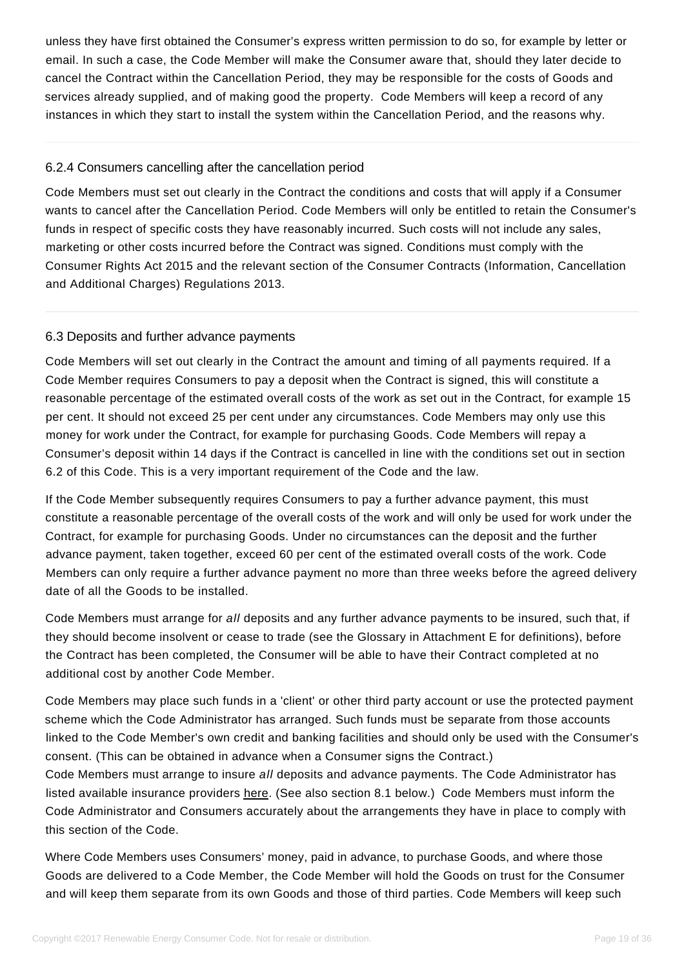unless they have first obtained the Consumer's express written permission to do so, for example by letter or email. In such a case, the Code Member will make the Consumer aware that, should they later decide to cancel the Contract within the Cancellation Period, they may be responsible for the costs of Goods and services already supplied, and of making good the property. Code Members will keep a record of any instances in which they start to install the system within the Cancellation Period, and the reasons why.

# 6.2.4 Consumers cancelling after the cancellation period

Code Members must set out clearly in the Contract the conditions and costs that will apply if a Consumer wants to cancel after the Cancellation Period. Code Members will only be entitled to retain the Consumer's funds in respect of specific costs they have reasonably incurred. Such costs will not include any sales, marketing or other costs incurred before the Contract was signed. Conditions must comply with the Consumer Rights Act 2015 and the relevant section of the Consumer Contracts (Information, Cancellation and Additional Charges) Regulations 2013.

# 6.3 Deposits and further advance payments

<span id="page-18-0"></span>Code Members will set out clearly in the Contract the amount and timing of all payments required. If a Code Member requires Consumers to pay a deposit when the Contract is signed, this will constitute a reasonable percentage of the estimated overall costs of the work as set out in the Contract, for example 15 per cent. It should not exceed 25 per cent under any circumstances. Code Members may only use this money for work under the Contract, for example for purchasing Goods. Code Members will repay a Consumer's deposit within 14 days if the Contract is cancelled in line with the conditions set out in section 6.2 of this Code. This is a very important requirement of the Code and the law.

If the Code Member subsequently requires Consumers to pay a further advance payment, this must constitute a reasonable percentage of the overall costs of the work and will only be used for work under the Contract, for example for purchasing Goods. Under no circumstances can the deposit and the further advance payment, taken together, exceed 60 per cent of the estimated overall costs of the work. Code Members can only require a further advance payment no more than three weeks before the agreed delivery date of all the Goods to be installed.

Code Members must arrange for all deposits and any further advance payments to be insured, such that, if they should become insolvent or cease to trade (see the Glossary in Attachment E for definitions), before the Contract has been completed, the Consumer will be able to have their Contract completed at no additional cost by another Code Member.

Code Members may place such funds in a 'client' or other third party account or use the protected payment scheme which the Code Administrator has arranged. Such funds must be separate from those accounts linked to the Code Member's own credit and banking facilities and should only be used with the Consumer's consent. (This can be obtained in advance when a Consumer signs the Contract.)

Code Members must arrange to insure all deposits and advance payments. The Code Administrator has listed available insurance providers [here.](https://www.recc.org.uk/members/insurance-providers) (See also section 8.1 below.) Code Members must inform the Code Administrator and Consumers accurately about the arrangements they have in place to comply with this section of the Code.

Where Code Members uses Consumers' money, paid in advance, to purchase Goods, and where those Goods are delivered to a Code Member, the Code Member will hold the Goods on trust for the Consumer and will keep them separate from its own Goods and those of third parties. Code Members will keep such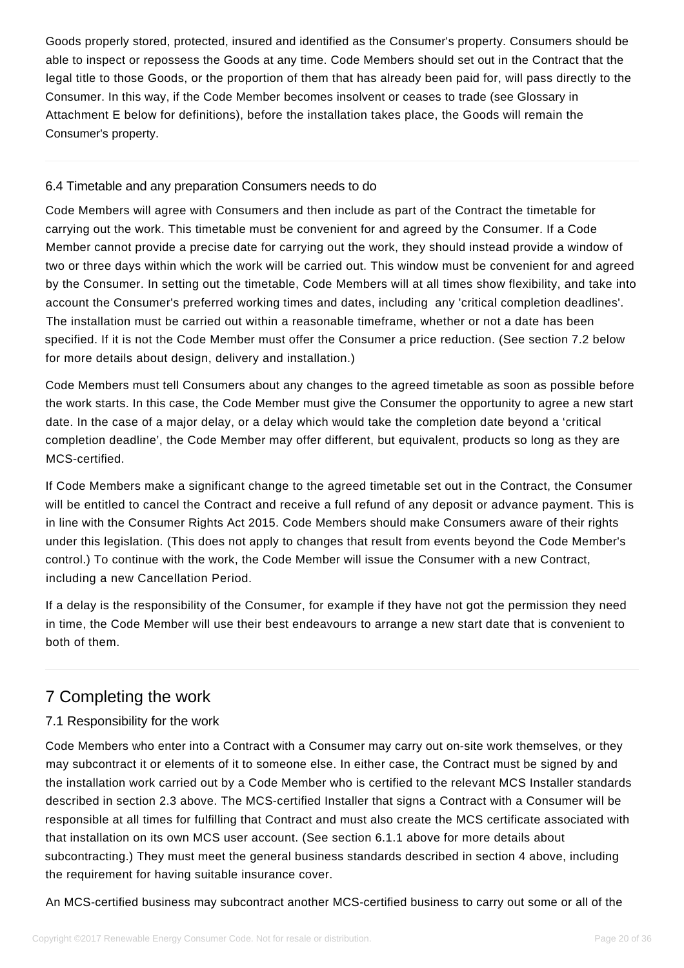Goods properly stored, protected, insured and identified as the Consumer's property. Consumers should be able to inspect or repossess the Goods at any time. Code Members should set out in the Contract that the legal title to those Goods, or the proportion of them that has already been paid for, will pass directly to the Consumer. In this way, if the Code Member becomes insolvent or ceases to trade (see Glossary in Attachment E below for definitions), before the installation takes place, the Goods will remain the Consumer's property.

### 6.4 Timetable and any preparation Consumers needs to do

<span id="page-19-0"></span>Code Members will agree with Consumers and then include as part of the Contract the timetable for carrying out the work. This timetable must be convenient for and agreed by the Consumer. If a Code Member cannot provide a precise date for carrying out the work, they should instead provide a window of two or three days within which the work will be carried out. This window must be convenient for and agreed by the Consumer. In setting out the timetable, Code Members will at all times show flexibility, and take into account the Consumer's preferred working times and dates, including any 'critical completion deadlines'. The installation must be carried out within a reasonable timeframe, whether or not a date has been specified. If it is not the Code Member must offer the Consumer a price reduction. (See section 7.2 below for more details about design, delivery and installation.)

Code Members must tell Consumers about any changes to the agreed timetable as soon as possible before the work starts. In this case, the Code Member must give the Consumer the opportunity to agree a new start date. In the case of a major delay, or a delay which would take the completion date beyond a 'critical completion deadline', the Code Member may offer different, but equivalent, products so long as they are MCS-certified.

If Code Members make a significant change to the agreed timetable set out in the Contract, the Consumer will be entitled to cancel the Contract and receive a full refund of any deposit or advance payment. This is in line with the Consumer Rights Act 2015. Code Members should make Consumers aware of their rights under this legislation. (This does not apply to changes that result from events beyond the Code Member's control.) To continue with the work, the Code Member will issue the Consumer with a new Contract, including a new Cancellation Period.

If a delay is the responsibility of the Consumer, for example if they have not got the permission they need in time, the Code Member will use their best endeavours to arrange a new start date that is convenient to both of them.

# 7 Completing the work

# 7.1 Responsibility for the work

<span id="page-19-2"></span><span id="page-19-1"></span>Code Members who enter into a Contract with a Consumer may carry out on-site work themselves, or they may subcontract it or elements of it to someone else. In either case, the Contract must be signed by and the installation work carried out by a Code Member who is certified to the relevant MCS Installer standards described in section 2.3 above. The MCS-certified Installer that signs a Contract with a Consumer will be responsible at all times for fulfilling that Contract and must also create the MCS certificate associated with that installation on its own MCS user account. (See section 6.1.1 above for more details about subcontracting.) They must meet the general business standards described in section 4 above, including the requirement for having suitable insurance cover.

An MCS-certified business may subcontract another MCS-certified business to carry out some or all of the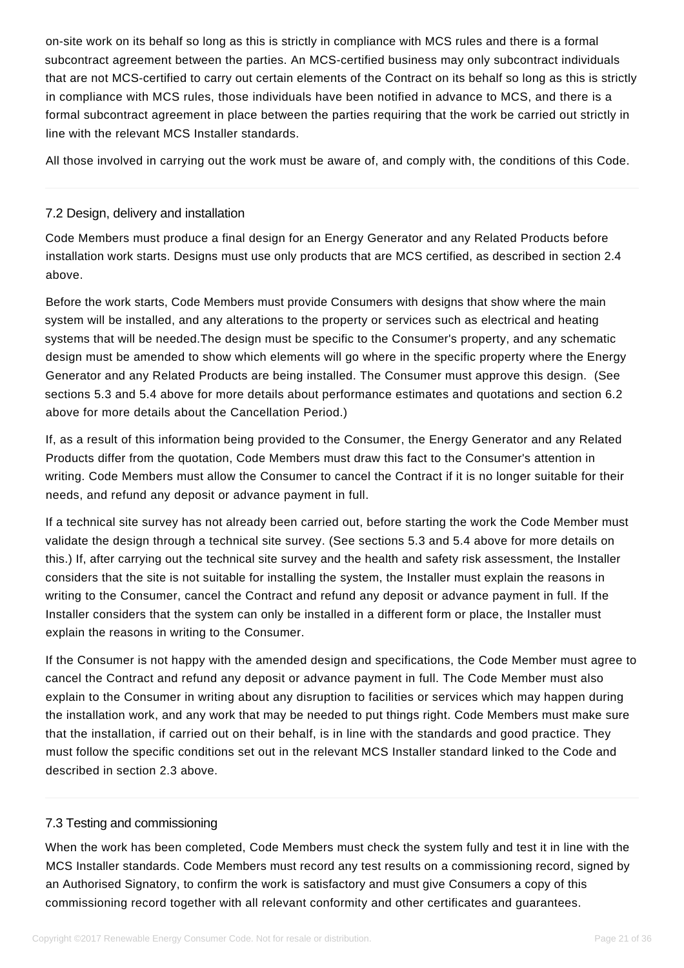on-site work on its behalf so long as this is strictly in compliance with MCS rules and there is a formal subcontract agreement between the parties. An MCS-certified business may only subcontract individuals that are not MCS-certified to carry out certain elements of the Contract on its behalf so long as this is strictly in compliance with MCS rules, those individuals have been notified in advance to MCS, and there is a formal subcontract agreement in place between the parties requiring that the work be carried out strictly in line with the relevant MCS Installer standards.

All those involved in carrying out the work must be aware of, and comply with, the conditions of this Code.

# 7.2 Design, delivery and installation

Code Members must produce a final design for an Energy Generator and any Related Products before installation work starts. Designs must use only products that are MCS certified, as described in section 2.4 above.

<span id="page-20-0"></span>Before the work starts, Code Members must provide Consumers with designs that show where the main system will be installed, and any alterations to the property or services such as electrical and heating systems that will be needed.The design must be specific to the Consumer's property, and any schematic design must be amended to show which elements will go where in the specific property where the Energy Generator and any Related Products are being installed. The Consumer must approve this design. (See sections 5.3 and 5.4 above for more details about performance estimates and quotations and section 6.2 above for more details about the Cancellation Period.)

If, as a result of this information being provided to the Consumer, the Energy Generator and any Related Products differ from the quotation, Code Members must draw this fact to the Consumer's attention in writing. Code Members must allow the Consumer to cancel the Contract if it is no longer suitable for their needs, and refund any deposit or advance payment in full.

If a technical site survey has not already been carried out, before starting the work the Code Member must validate the design through a technical site survey. (See sections 5.3 and 5.4 above for more details on this.) If, after carrying out the technical site survey and the health and safety risk assessment, the Installer considers that the site is not suitable for installing the system, the Installer must explain the reasons in writing to the Consumer, cancel the Contract and refund any deposit or advance payment in full. If the Installer considers that the system can only be installed in a different form or place, the Installer must explain the reasons in writing to the Consumer.

If the Consumer is not happy with the amended design and specifications, the Code Member must agree to cancel the Contract and refund any deposit or advance payment in full. The Code Member must also explain to the Consumer in writing about any disruption to facilities or services which may happen during the installation work, and any work that may be needed to put things right. Code Members must make sure that the installation, if carried out on their behalf, is in line with the standards and good practice. They must follow the specific conditions set out in the relevant MCS Installer standard linked to the Code and described in section 2.3 above.

### 7.3 Testing and commissioning

<span id="page-20-1"></span>When the work has been completed, Code Members must check the system fully and test it in line with the MCS Installer standards. Code Members must record any test results on a commissioning record, signed by an Authorised Signatory, to confirm the work is satisfactory and must give Consumers a copy of this commissioning record together with all relevant conformity and other certificates and guarantees.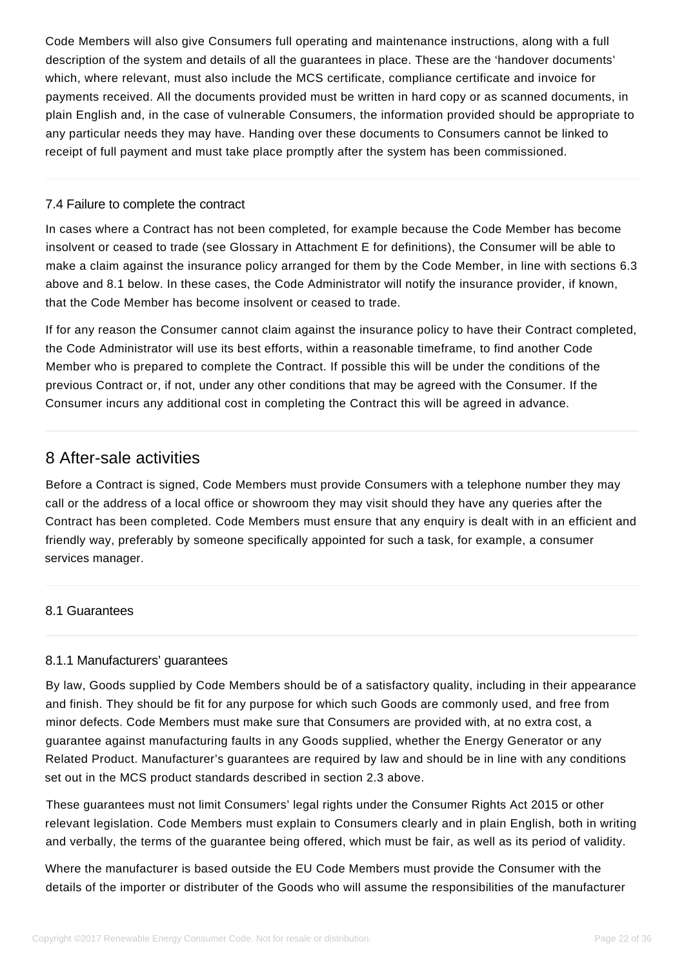Code Members will also give Consumers full operating and maintenance instructions, along with a full description of the system and details of all the guarantees in place. These are the 'handover documents' which, where relevant, must also include the MCS certificate, compliance certificate and invoice for payments received. All the documents provided must be written in hard copy or as scanned documents, in plain English and, in the case of vulnerable Consumers, the information provided should be appropriate to any particular needs they may have. Handing over these documents to Consumers cannot be linked to receipt of full payment and must take place promptly after the system has been commissioned.

### 7.4 Failure to complete the contract

<span id="page-21-0"></span>In cases where a Contract has not been completed, for example because the Code Member has become insolvent or ceased to trade (see Glossary in Attachment E for definitions), the Consumer will be able to make a claim against the insurance policy arranged for them by the Code Member, in line with sections 6.3 above and 8.1 below. In these cases, the Code Administrator will notify the insurance provider, if known, that the Code Member has become insolvent or ceased to trade.

If for any reason the Consumer cannot claim against the insurance policy to have their Contract completed, the Code Administrator will use its best efforts, within a reasonable timeframe, to find another Code Member who is prepared to complete the Contract. If possible this will be under the conditions of the previous Contract or, if not, under any other conditions that may be agreed with the Consumer. If the Consumer incurs any additional cost in completing the Contract this will be agreed in advance.

# 8 After-sale activities

<span id="page-21-1"></span>Before a Contract is signed, Code Members must provide Consumers with a telephone number they may call or the address of a local office or showroom they may visit should they have any queries after the Contract has been completed. Code Members must ensure that any enquiry is dealt with in an efficient and friendly way, preferably by someone specifically appointed for such a task, for example, a consumer services manager.

# 8.1 Guarantees

### <span id="page-21-2"></span>8.1.1 Manufacturers' guarantees

By law, Goods supplied by Code Members should be of a satisfactory quality, including in their appearance and finish. They should be fit for any purpose for which such Goods are commonly used, and free from minor defects. Code Members must make sure that Consumers are provided with, at no extra cost, a guarantee against manufacturing faults in any Goods supplied, whether the Energy Generator or any Related Product. Manufacturer's guarantees are required by law and should be in line with any conditions set out in the MCS product standards described in section 2.3 above.

These guarantees must not limit Consumers' legal rights under the Consumer Rights Act 2015 or other relevant legislation. Code Members must explain to Consumers clearly and in plain English, both in writing and verbally, the terms of the guarantee being offered, which must be fair, as well as its period of validity.

Where the manufacturer is based outside the EU Code Members must provide the Consumer with the details of the importer or distributer of the Goods who will assume the responsibilities of the manufacturer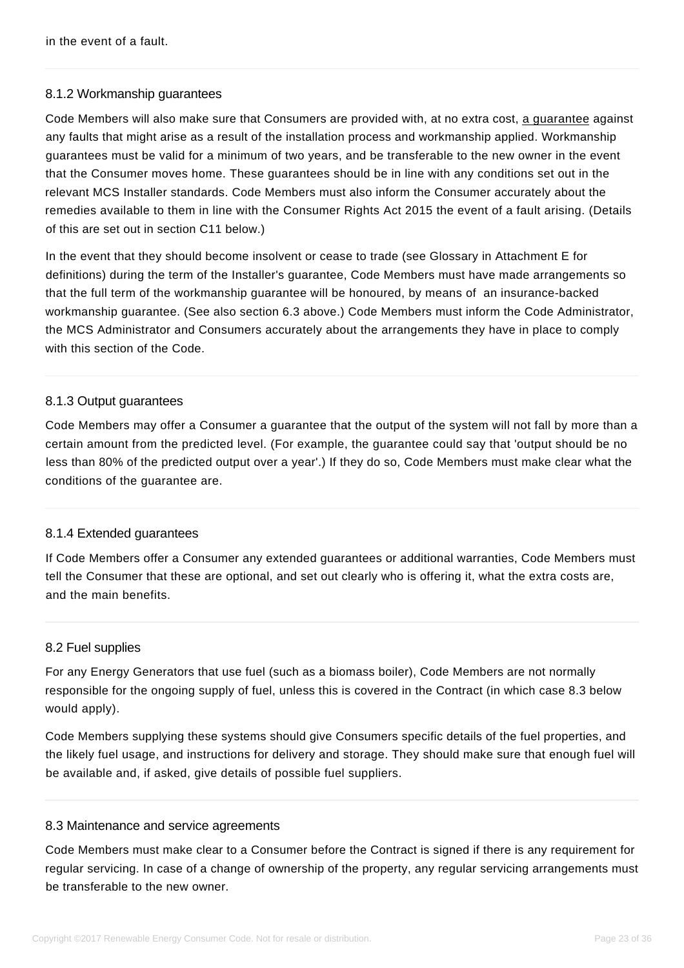# 8.1.2 Workmanship guarantees

Code Members will also make sure that Consumers are provided with, at no extra cost, [a guarantee](https://www.recc.org.uk/member/documents/model/model-installer-warranty.docx) against any faults that might arise as a result of the installation process and workmanship applied. Workmanship guarantees must be valid for a minimum of two years, and be transferable to the new owner in the event that the Consumer moves home. These guarantees should be in line with any conditions set out in the relevant MCS Installer standards. Code Members must also inform the Consumer accurately about the remedies available to them in line with the Consumer Rights Act 2015 the event of a fault arising. (Details of this are set out in section C11 below.)

In the event that they should become insolvent or cease to trade (see Glossary in Attachment E for definitions) during the term of the Installer's guarantee, Code Members must have made arrangements so that the full term of the workmanship guarantee will be honoured, by means of an insurance-backed workmanship guarantee. (See also section 6.3 above.) Code Members must inform the Code Administrator, the MCS Administrator and Consumers accurately about the arrangements they have in place to comply with this section of the Code.

### 8.1.3 Output guarantees

Code Members may offer a Consumer a guarantee that the output of the system will not fall by more than a certain amount from the predicted level. (For example, the guarantee could say that 'output should be no less than 80% of the predicted output over a year'.) If they do so, Code Members must make clear what the conditions of the guarantee are.

#### 8.1.4 Extended guarantees

If Code Members offer a Consumer any extended guarantees or additional warranties, Code Members must tell the Consumer that these are optional, and set out clearly who is offering it, what the extra costs are, and the main benefits.

#### 8.2 Fuel supplies

For any Energy Generators that use fuel (such as a biomass boiler), Code Members are not normally responsible for the ongoing supply of fuel, unless this is covered in the Contract (in which case 8.3 below would apply).

<span id="page-22-0"></span>Code Members supplying these systems should give Consumers specific details of the fuel properties, and the likely fuel usage, and instructions for delivery and storage. They should make sure that enough fuel will be available and, if asked, give details of possible fuel suppliers.

#### 8.3 Maintenance and service agreements

<span id="page-22-1"></span>Code Members must make clear to a Consumer before the Contract is signed if there is any requirement for regular servicing. In case of a change of ownership of the property, any regular servicing arrangements must be transferable to the new owner.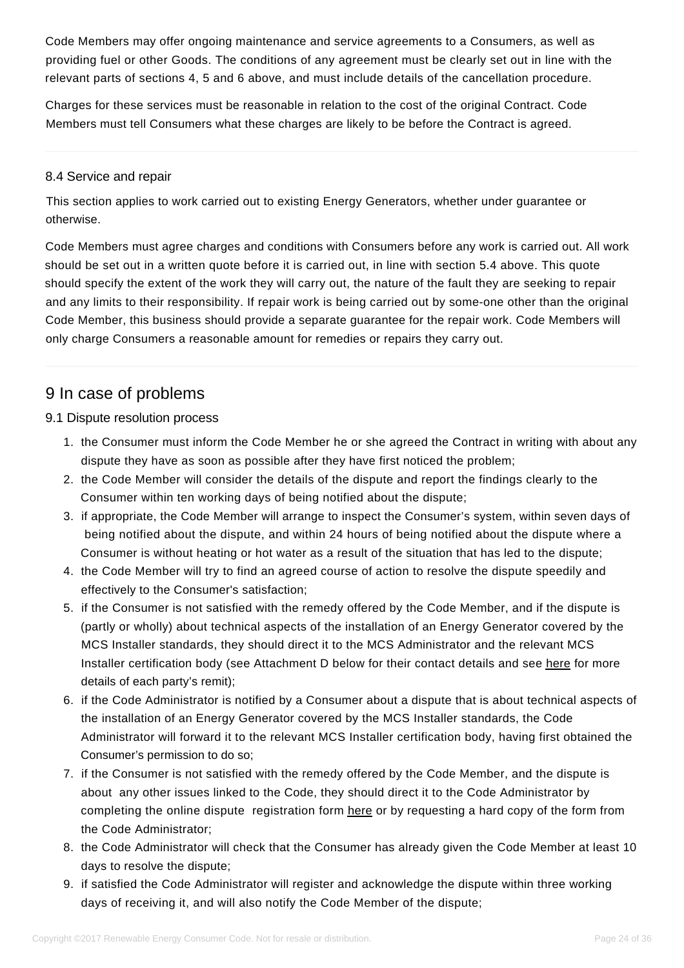Code Members may offer ongoing maintenance and service agreements to a Consumers, as well as providing fuel or other Goods. The conditions of any agreement must be clearly set out in line with the relevant parts of sections 4, 5 and 6 above, and must include details of the cancellation procedure.

Charges for these services must be reasonable in relation to the cost of the original Contract. Code Members must tell Consumers what these charges are likely to be before the Contract is agreed.

### 8.4 Service and repair

This section applies to work carried out to existing Energy Generators, whether under guarantee or otherwise.

<span id="page-23-0"></span>Code Members must agree charges and conditions with Consumers before any work is carried out. All work should be set out in a written quote before it is carried out, in line with section 5.4 above. This quote should specify the extent of the work they will carry out, the nature of the fault they are seeking to repair and any limits to their responsibility. If repair work is being carried out by some-one other than the original Code Member, this business should provide a separate guarantee for the repair work. Code Members will only charge Consumers a reasonable amount for remedies or repairs they carry out.

# 9 In case of problems

### <span id="page-23-1"></span>9.1 Dispute resolution process

- 1. the Consumer must inform the Code Member he or she agreed the Contract in writing with about any dispute they have as soon as possible after they have first noticed the problem;
- <span id="page-23-2"></span>2. the Code Member will consider the details of the dispute and report the findings clearly to the Consumer within ten working days of being notified about the dispute;
- 3. if appropriate, the Code Member will arrange to inspect the Consumer's system, within seven days of being notified about the dispute, and within 24 hours of being notified about the dispute where a Consumer is without heating or hot water as a result of the situation that has led to the dispute;
- 4. the Code Member will try to find an agreed course of action to resolve the dispute speedily and effectively to the Consumer's satisfaction;
- 5. if the Consumer is not satisfied with the remedy offered by the Code Member, and if the dispute is (partly or wholly) about technical aspects of the installation of an Energy Generator covered by the MCS Installer standards, they should direct it to the MCS Administrator and the relevant MCS Installer certification body (see Attachment D below for their contact details and see [here](https://www.recc.org.uk/complaint-form/important-information) for more details of each party's remit);
- 6. if the Code Administrator is notified by a Consumer about a dispute that is about technical aspects of the installation of an Energy Generator covered by the MCS Installer standards, the Code Administrator will forward it to the relevant MCS Installer certification body, having first obtained the Consumer's permission to do so;
- 7. if the Consumer is not satisfied with the remedy offered by the Code Member, and the dispute is about any other issues linked to the Code, they should direct it to the Code Administrator by completing the online dispute registration form [here](https://www.recc.org.uk/complaint-form) or by requesting a hard copy of the form from the Code Administrator;
- 8. the Code Administrator will check that the Consumer has already given the Code Member at least 10 days to resolve the dispute;
- 9. if satisfied the Code Administrator will register and acknowledge the dispute within three working days of receiving it, and will also notify the Code Member of the dispute;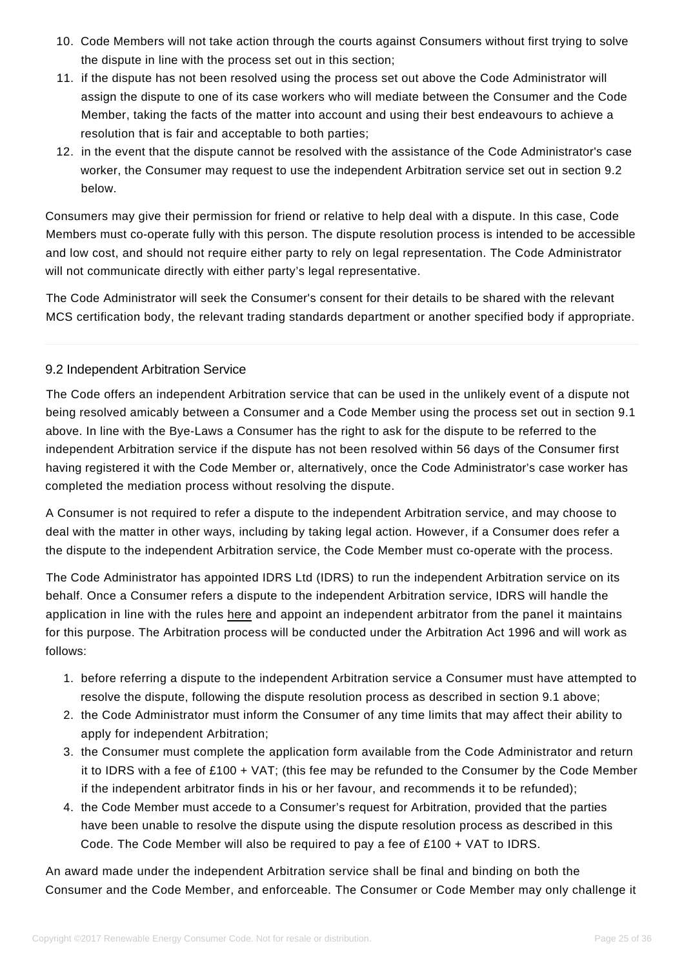- 10. Code Members will not take action through the courts against Consumers without first trying to solve the dispute in line with the process set out in this section;
- 11. if the dispute has not been resolved using the process set out above the Code Administrator will assign the dispute to one of its case workers who will mediate between the Consumer and the Code Member, taking the facts of the matter into account and using their best endeavours to achieve a resolution that is fair and acceptable to both parties;
- 12. in the event that the dispute cannot be resolved with the assistance of the Code Administrator's case worker, the Consumer may request to use the independent Arbitration service set out in section 9.2 below.

Consumers may give their permission for friend or relative to help deal with a dispute. In this case, Code Members must co-operate fully with this person. The dispute resolution process is intended to be accessible and low cost, and should not require either party to rely on legal representation. The Code Administrator will not communicate directly with either party's legal representative.

The Code Administrator will seek the Consumer's consent for their details to be shared with the relevant MCS certification body, the relevant trading standards department or another specified body if appropriate.

# 9.2 Independent Arbitration Service

<span id="page-24-0"></span>The Code offers an independent Arbitration service that can be used in the unlikely event of a dispute not being resolved amicably between a Consumer and a Code Member using the process set out in section 9.1 above. In line with the Bye-Laws a Consumer has the right to ask for the dispute to be referred to the independent Arbitration service if the dispute has not been resolved within 56 days of the Consumer first having registered it with the Code Member or, alternatively, once the Code Administrator's case worker has completed the mediation process without resolving the dispute.

A Consumer is not required to refer a dispute to the independent Arbitration service, and may choose to deal with the matter in other ways, including by taking legal action. However, if a Consumer does refer a the dispute to the independent Arbitration service, the Code Member must co-operate with the process.

The Code Administrator has appointed IDRS Ltd (IDRS) to run the independent Arbitration service on its behalf. Once a Consumer refers a dispute to the independent Arbitration service, IDRS will handle the application in line with the rules [here](https://www.recc.org.uk/pdf/arbitration-service.pdf) and appoint an independent arbitrator from the panel it maintains for this purpose. The Arbitration process will be conducted under the Arbitration Act 1996 and will work as follows:

- 1. before referring a dispute to the independent Arbitration service a Consumer must have attempted to resolve the dispute, following the dispute resolution process as described in section 9.1 above;
- 2. the Code Administrator must inform the Consumer of any time limits that may affect their ability to apply for independent Arbitration;
- 3. the Consumer must complete the application form available from the Code Administrator and return it to IDRS with a fee of £100 + VAT; (this fee may be refunded to the Consumer by the Code Member if the independent arbitrator finds in his or her favour, and recommends it to be refunded);
- 4. the Code Member must accede to a Consumer's request for Arbitration, provided that the parties have been unable to resolve the dispute using the dispute resolution process as described in this Code. The Code Member will also be required to pay a fee of  $£100 + \sqrt{AT}$  to IDRS.

An award made under the independent Arbitration service shall be final and binding on both the Consumer and the Code Member, and enforceable. The Consumer or Code Member may only challenge it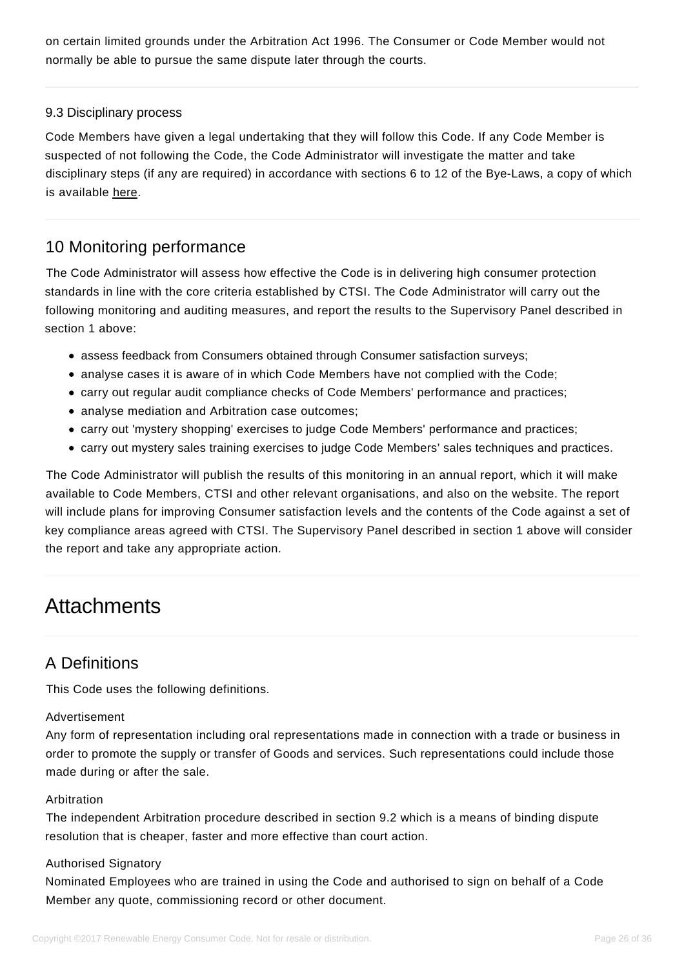on certain limited grounds under the Arbitration Act 1996. The Consumer or Code Member would not normally be able to pursue the same dispute later through the courts.

### 9.3 Disciplinary process

<span id="page-25-0"></span>Code Members have given a legal undertaking that they will follow this Code. If any Code Member is suspected of not following the Code, the Code Administrator will investigate the matter and take disciplinary steps (if any are required) in accordance with sections 6 to 12 of the Bye-Laws, a copy of which is available [here.](https://www.recc.org.uk/scheme/bye-laws)

# 10 Monitoring performance

<span id="page-25-1"></span>The Code Administrator will assess how effective the Code is in delivering high consumer protection standards in line with the core criteria established by CTSI. The Code Administrator will carry out the following monitoring and auditing measures, and report the results to the Supervisory Panel described in section 1 above:

- assess feedback from Consumers obtained through Consumer satisfaction surveys;
- analyse cases it is aware of in which Code Members have not complied with the Code;
- carry out regular audit compliance checks of Code Members' performance and practices;
- analyse mediation and Arbitration case outcomes;
- carry out 'mystery shopping' exercises to judge Code Members' performance and practices;
- carry out mystery sales training exercises to judge Code Members' sales techniques and practices.

The Code Administrator will publish the results of this monitoring in an annual report, which it will make available to Code Members, CTSI and other relevant organisations, and also on the website. The report will include plans for improving Consumer satisfaction levels and the contents of the Code against a set of key compliance areas agreed with CTSI. The Supervisory Panel described in section 1 above will consider the report and take any appropriate action.

# **Attachments**

# A Definitions

This Code uses the following definitions.

### <span id="page-25-2"></span>Advertisement

Any form of representation including oral representations made in connection with a trade or business in order to promote the supply or transfer of Goods and services. Such representations could include those made during or after the sale.

### Arbitration

The independent Arbitration procedure described in section 9.2 which is a means of binding dispute resolution that is cheaper, faster and more effective than court action.

### Authorised Signatory

Nominated Employees who are trained in using the Code and authorised to sign on behalf of a Code Member any quote, commissioning record or other document.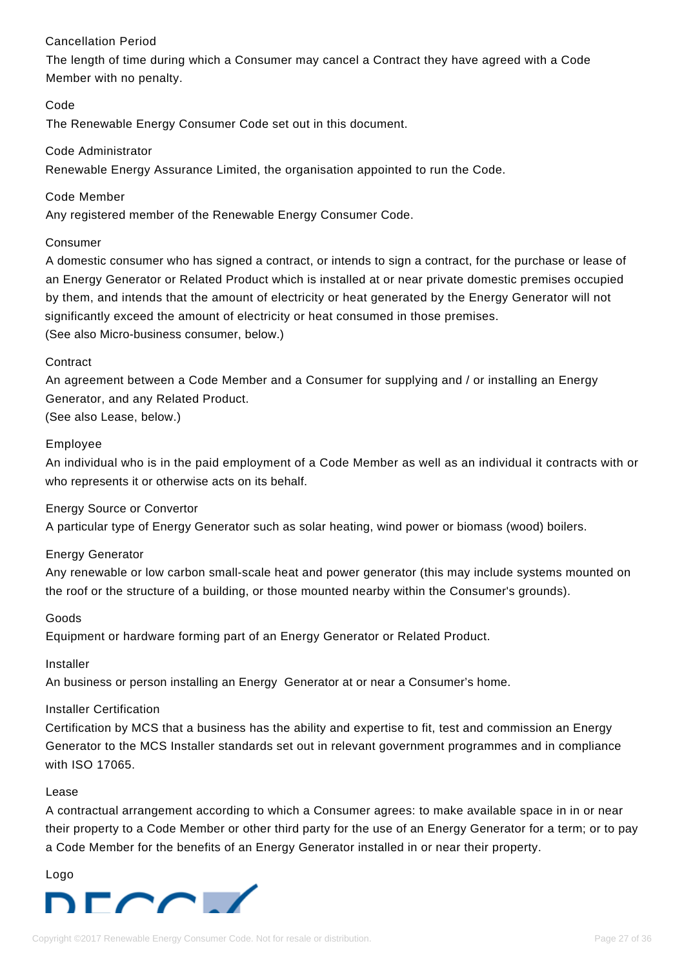# Cancellation Period

The length of time during which a Consumer may cancel a Contract they have agreed with a Code Member with no penalty.

### Code

The Renewable Energy Consumer Code set out in this document.

### Code Administrator

Renewable Energy Assurance Limited, the organisation appointed to run the Code.

#### Code Member

Any registered member of the Renewable Energy Consumer Code.

#### Consumer

A domestic consumer who has signed a contract, or intends to sign a contract, for the purchase or lease of an Energy Generator or Related Product which is installed at or near private domestic premises occupied by them, and intends that the amount of electricity or heat generated by the Energy Generator will not significantly exceed the amount of electricity or heat consumed in those premises. (See also Micro-business consumer, below.)

#### **Contract**

An agreement between a Code Member and a Consumer for supplying and / or installing an Energy Generator, and any Related Product.

(See also Lease, below.)

#### Employee

An individual who is in the paid employment of a Code Member as well as an individual it contracts with or who represents it or otherwise acts on its behalf.

### Energy Source or Convertor

A particular type of Energy Generator such as solar heating, wind power or biomass (wood) boilers.

#### Energy Generator

Any renewable or low carbon small-scale heat and power generator (this may include systems mounted on the roof or the structure of a building, or those mounted nearby within the Consumer's grounds).

#### Goods

Equipment or hardware forming part of an Energy Generator or Related Product.

# Installer

An business or person installing an Energy Generator at or near a Consumer's home.

# Installer Certification

Certification by MCS that a business has the ability and expertise to fit, test and commission an Energy Generator to the MCS Installer standards set out in relevant government programmes and in compliance with ISO 17065.

#### Lease

A contractual arrangement according to which a Consumer agrees: to make available space in in or near their property to a Code Member or other third party for the use of an Energy Generator for a term; or to pay a Code Member for the benefits of an Energy Generator installed in or near their property.

Logo

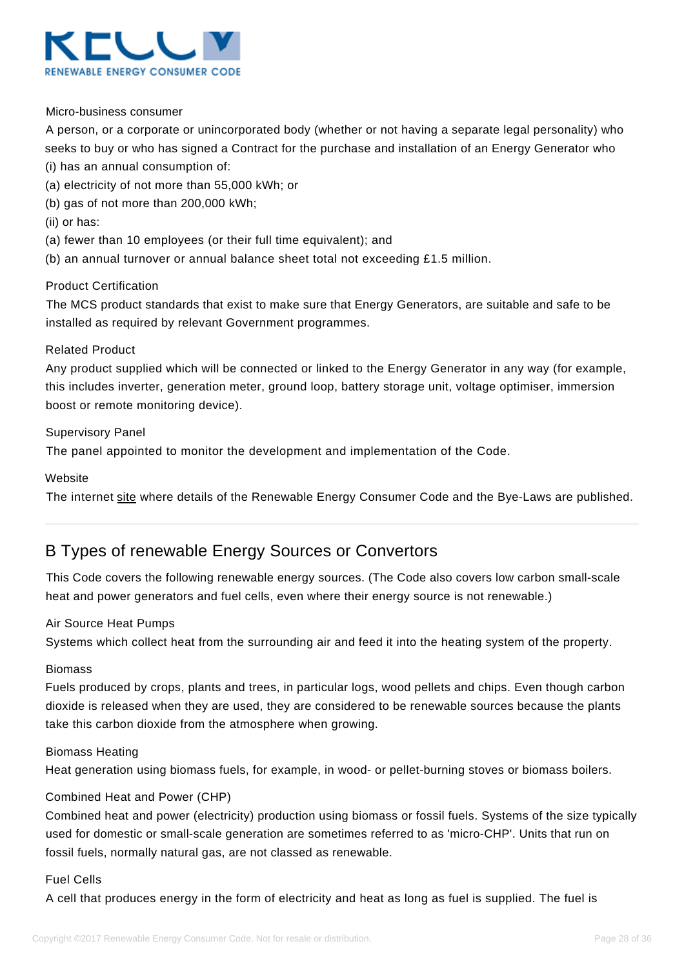

#### Micro-business consumer

A person, or a corporate or unincorporated body (whether or not having a separate legal personality) who seeks to buy or who has signed a Contract for the purchase and installation of an Energy Generator who (i) has an annual consumption of:

- (a) electricity of not more than 55,000 kWh; or
- (b) gas of not more than 200,000 kWh;
- (ii) or has:
- (a) fewer than 10 employees (or their full time equivalent); and
- (b) an annual turnover or annual balance sheet total not exceeding £1.5 million.

#### Product Certification

The MCS product standards that exist to make sure that Energy Generators, are suitable and safe to be installed as required by relevant Government programmes.

#### Related Product

Any product supplied which will be connected or linked to the Energy Generator in any way (for example, this includes inverter, generation meter, ground loop, battery storage unit, voltage optimiser, immersion boost or remote monitoring device).

#### Supervisory Panel

The panel appointed to monitor the development and implementation of the Code.

#### **Website**

The internet [site w](https://www.recc.org.uk/)here details of the Renewable Energy Consumer Code and the Bye-Laws are published.

# B Types of renewable Energy Sources or Convertors

This Code covers the following renewable energy sources. (The Code also covers low carbon small-scale heat and power generators and fuel cells, even where their energy source is not renewable.)

#### <span id="page-27-0"></span>Air Source Heat Pumps

Systems which collect heat from the surrounding air and feed it into the heating system of the property.

#### Biomass

Fuels produced by crops, plants and trees, in particular logs, wood pellets and chips. Even though carbon dioxide is released when they are used, they are considered to be renewable sources because the plants take this carbon dioxide from the atmosphere when growing.

#### Biomass Heating

Heat generation using biomass fuels, for example, in wood- or pellet-burning stoves or biomass boilers.

#### Combined Heat and Power (CHP)

Combined heat and power (electricity) production using biomass or fossil fuels. Systems of the size typically used for domestic or small-scale generation are sometimes referred to as 'micro-CHP'. Units that run on fossil fuels, normally natural gas, are not classed as renewable.

#### Fuel Cells

A cell that produces energy in the form of electricity and heat as long as fuel is supplied. The fuel is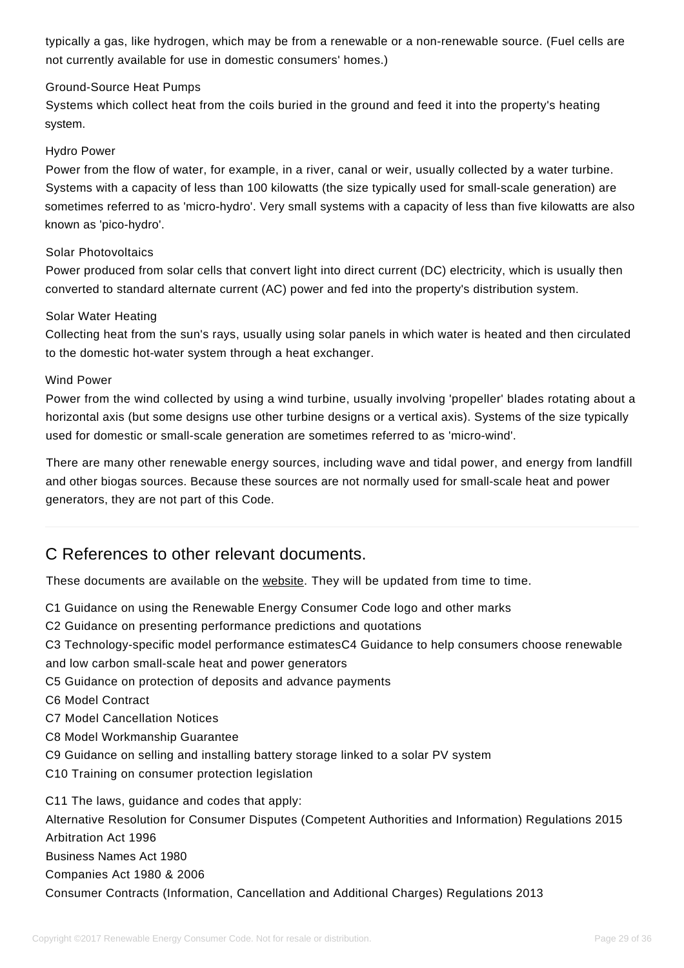typically a gas, like hydrogen, which may be from a renewable or a non-renewable source. (Fuel cells are not currently available for use in domestic consumers' homes.)

#### Ground-Source Heat Pumps

Systems which collect heat from the coils buried in the ground and feed it into the property's heating system.

#### Hydro Power

Power from the flow of water, for example, in a river, canal or weir, usually collected by a water turbine. Systems with a capacity of less than 100 kilowatts (the size typically used for small-scale generation) are sometimes referred to as 'micro-hydro'. Very small systems with a capacity of less than five kilowatts are also known as 'pico-hydro'.

#### Solar Photovoltaics

Power produced from solar cells that convert light into direct current (DC) electricity, which is usually then converted to standard alternate current (AC) power and fed into the property's distribution system.

#### Solar Water Heating

Collecting heat from the sun's rays, usually using solar panels in which water is heated and then circulated to the domestic hot-water system through a heat exchanger.

#### Wind Power

Power from the wind collected by using a wind turbine, usually involving 'propeller' blades rotating about a horizontal axis (but some designs use other turbine designs or a vertical axis). Systems of the size typically used for domestic or small-scale generation are sometimes referred to as 'micro-wind'.

There are many other renewable energy sources, including wave and tidal power, and energy from landfill and other biogas sources. Because these sources are not normally used for small-scale heat and power generators, they are not part of this Code.

# C References to other relevant documents.

These documents are available on the [website.](https://www.recc.org.uk/) They will be updated from time to time.

- <span id="page-28-0"></span>C1 Guidance on using the Renewable Energy Consumer Code logo and other marks
- C2 Guidance on presenting performance predictions and quotations
- C3 Technology-specific model performance estimatesC4 Guidance to help consumers choose renewable
- and low carbon small-scale heat and power generators
- C5 Guidance on protection of deposits and advance payments
- C6 Model Contract
- C7 Model Cancellation Notices
- C8 Model Workmanship Guarantee
- C9 Guidance on selling and installing battery storage linked to a solar PV system
- C10 Training on consumer protection legislation

C11 The laws, guidance and codes that apply: Alternative Resolution for Consumer Disputes (Competent Authorities and Information) Regulations 2015 Arbitration Act 1996 Business Names Act 1980 Companies Act 1980 & 2006 Consumer Contracts (Information, Cancellation and Additional Charges) Regulations 2013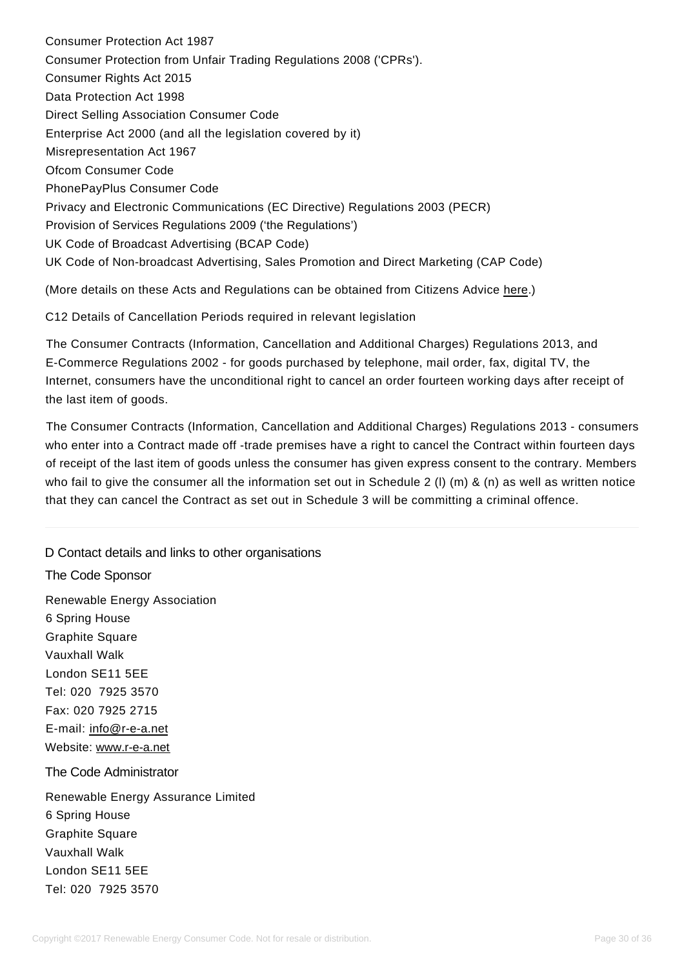Consumer Protection Act 1987 Consumer Protection from Unfair Trading Regulations 2008 ('CPRs'). Consumer Rights Act 2015 Data Protection Act 1998 Direct Selling Association Consumer Code Enterprise Act 2000 (and all the legislation covered by it) Misrepresentation Act 1967 Ofcom Consumer Code PhonePayPlus Consumer Code Privacy and Electronic Communications (EC Directive) Regulations 2003 (PECR) Provision of Services Regulations 2009 ('the Regulations') UK Code of Broadcast Advertising (BCAP Code) UK Code of Non-broadcast Advertising, Sales Promotion and Direct Marketing (CAP Code)

(More details on these Acts and Regulations can be obtained from Citizens Advice [here.\)](https://www.citizensadvice.org.uk/law-and-rights/)

C12 Details of Cancellation Periods required in relevant legislation

The Consumer Contracts (Information, Cancellation and Additional Charges) Regulations 2013, and E-Commerce Regulations 2002 - for goods purchased by telephone, mail order, fax, digital TV, the Internet, consumers have the unconditional right to cancel an order fourteen working days after receipt of the last item of goods.

The Consumer Contracts (Information, Cancellation and Additional Charges) Regulations 2013 - consumers who enter into a Contract made off -trade premises have a right to cancel the Contract within fourteen days of receipt of the last item of goods unless the consumer has given express consent to the contrary. Members who fail to give the consumer all the information set out in Schedule 2 (l) (m) & (n) as well as written notice that they can cancel the Contract as set out in Schedule 3 will be committing a criminal offence.

<span id="page-29-0"></span>D Contact details and links to other organisations The Code Sponsor Renewable Energy Association 6 Spring House Graphite Square Vauxhall Walk London SE11 5EE Tel: 020 7925 3570 Fax: 020 7925 2715 E-mail: [info@r-e-a.net](mailto:info@r-e-a.net) Website: [www.r-e-a.net](http://www.r-e-a.net/) The Code Administrator Renewable Energy Assurance Limited 6 Spring House Graphite Square Vauxhall Walk London SE11 5EE Tel: 020 7925 3570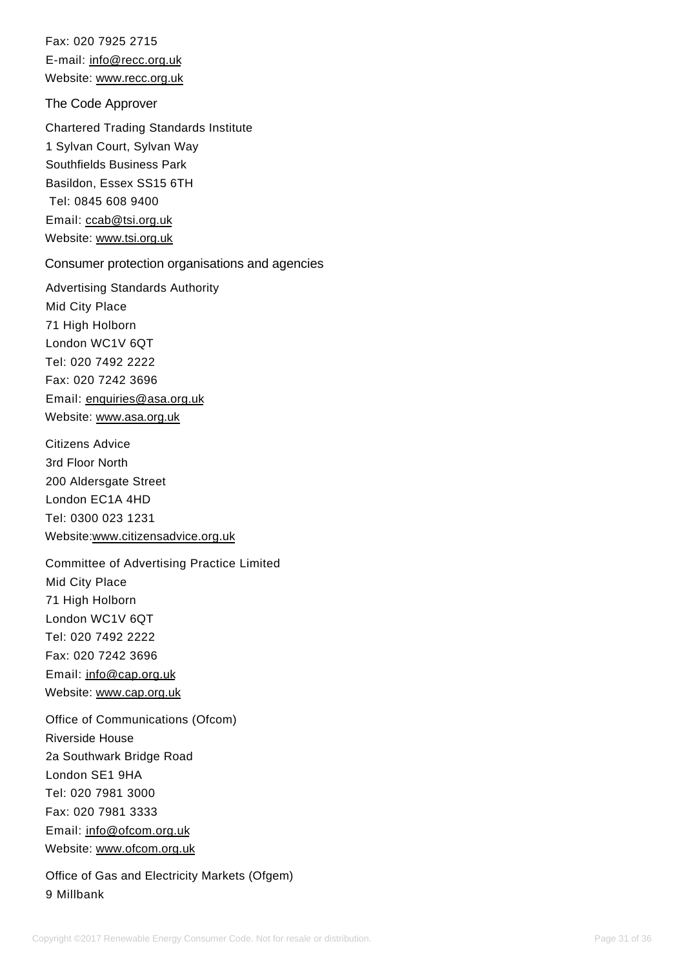Fax: 020 7925 2715 E-mail: [info@recc.org.uk](mailto:info@recc.org.uk) Website: [www.recc.org.uk](https://www.recc.org.uk/)

The Code Approver

Chartered Trading Standards Institute 1 Sylvan Court, Sylvan Way Southfields Business Park Basildon, Essex SS15 6TH Tel: 0845 608 9400 Email: [ccab@tsi.org.uk](mailto:ccab@tsi.org.uk) Website: [www.tsi.org.uk](http://www.tsi.org.uk/)

### Consumer protection organisations and agencies

Advertising Standards Authority Mid City Place 71 High Holborn London WC1V 6QT Tel: 020 7492 2222 Fax: 020 7242 3696 Email: [enquiries@asa.org.uk](mailto:enquiries@asa.org.uk) Website: [www.asa.org.uk](https://www.asa.org.uk/)

Citizens Advice 3rd Floor North 200 Aldersgate Street London EC1A 4HD Tel: 0300 023 1231 Website[:www.citizensadvice.org.uk](http://www.citizensadvice.org.uk/)

Committee of Advertising Practice Limited Mid City Place 71 High Holborn London WC1V 6QT Tel: 020 7492 2222 Fax: 020 7242 3696 Email: [info@cap.org.uk](mailto:info@cap.org.uk) Website: [www.cap.org.uk](http://www.cap.org.uk/)

Office of Communications (Ofcom) Riverside House 2a Southwark Bridge Road London SE1 9HA Tel: 020 7981 3000 Fax: 020 7981 3333 Email: [info@ofcom.org.uk](mailto:info@ofcom.org.uk) Website: [www.ofcom.org.uk](http://www.ofcom.org.uk/)

Office of Gas and Electricity Markets (Ofgem) 9 Millbank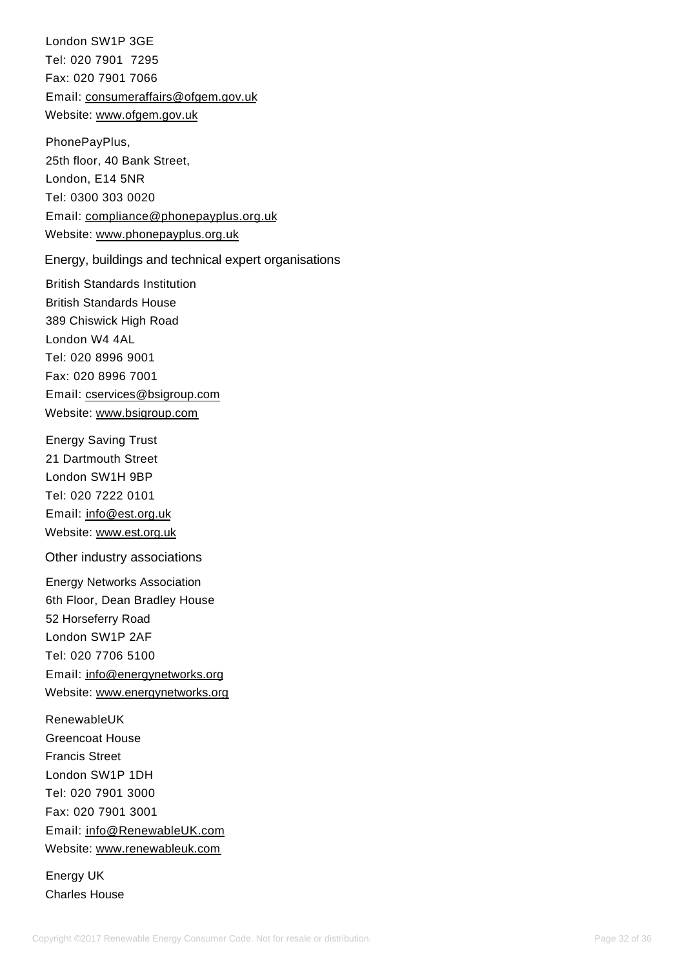London SW1P 3GE Tel: 020 7901 7295 Fax: 020 7901 7066 Email: [consumeraffairs@ofgem.gov.uk](mailto:consumeraffairs@ofgem.gov.uk) Website: [www.ofgem.gov.uk](http://www.ofgem.org.uk/)

PhonePayPlus, 25th floor, 40 Bank Street, London, E14 5NR Tel: 0300 303 0020 Email: [compliance@phonepayplus.org.uk](mailto:compliance@phonepayplus.org.uk) Website: [www.phonepayplus.org.uk](http://www.phonepayplus.org.uk/)

Energy, buildings and technical expert organisations

British Standards Institution British Standards House 389 Chiswick High Road London W4 4AL Tel: 020 8996 9001 Fax: 020 8996 7001 Email: [cservices@bsigroup.com](mailto:cservices@bsigroup.com) Website: [www.bsigroup.com](http://www.bsigroup.com/)

Energy Saving Trust 21 Dartmouth Street London SW1H 9BP Tel: 020 7222 0101 Email: [info@est.org.uk](mailto:info@est.org.uk) Website: [www.est.org.uk](http://www.est.org.uk/)

Other industry associations

Energy Networks Association 6th Floor, Dean Bradley House 52 Horseferry Road London SW1P 2AF Tel: 020 7706 5100 Email: [info@energynetworks.org](mailto:info@energynetworks.org) Website: [www.energynetworks.org](http://www.energynetworks.org/)

RenewableUK Greencoat House Francis Street London SW1P 1DH Tel: 020 7901 3000 Fax: 020 7901 3001 Email: [info@RenewableUK.com](mailto:info@RenewableUK.com) Website: [www.renewableuk.com](http://www.renewableuk.com/)

Energy UK Charles House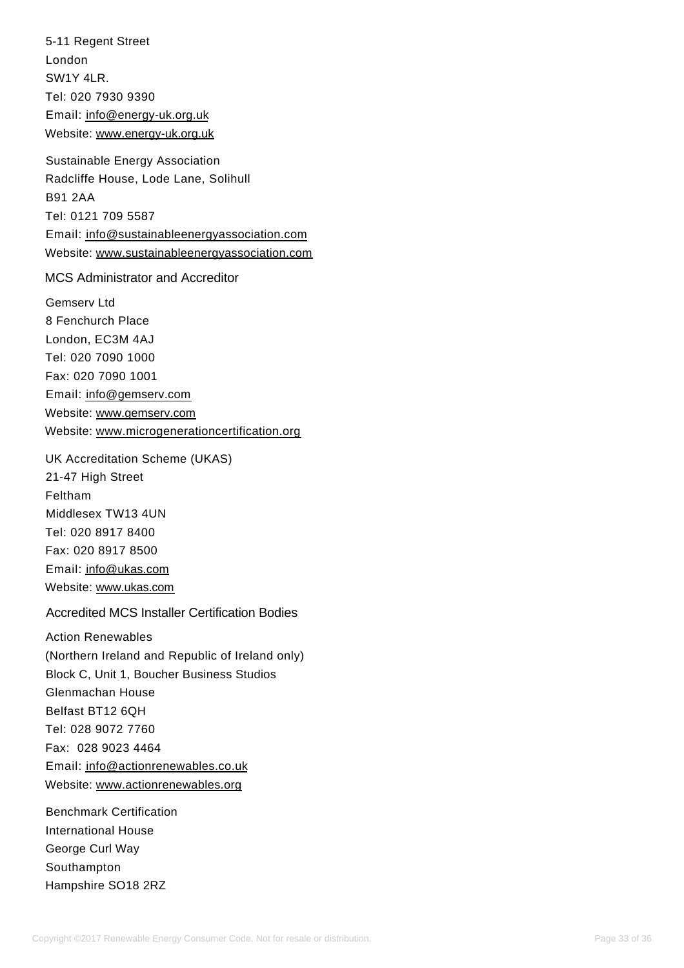5-11 Regent Street London SW1Y 4LR. Tel: 020 7930 9390 Email: [info@energy-uk.org.uk](mailto:info@energy-uk.org.uk) Website: [www.energy-uk.org.uk](http://www.energy-uk.org.uk/)

Sustainable Energy Association Radcliffe House, Lode Lane, Solihull B91 2AA Tel: 0121 709 5587 Email: [info@sustainableenergyassociation.com](mailto:info@sustainableenergyassociation.com) Website: [www.sustainableenergyassociation.com](http://www.sustainableenergyassociation.com/)

MCS Administrator and Accreditor

Gemserv Ltd 8 Fenchurch Place London, EC3M 4AJ Tel: 020 7090 1000 Fax: 020 7090 1001 Email: [info@gemserv.com](mailto:info@gemserv.com) Website: [www.gemserv.com](http://www.gemserv.com/) Website: [www.microgenerationcertification.org](http://www.microgenerationcertification.org/)

UK Accreditation Scheme (UKAS) 21-47 High Street Feltham Middlesex TW13 4UN Tel: 020 8917 8400 Fax: 020 8917 8500 Email: [info@ukas.com](mailto:iinfo@ukas.com) Website: [www.ukas.com](http://www.ukas.com/)

Accredited MCS Installer Certification Bodies

Action Renewables (Northern Ireland and Republic of Ireland only) Block C, Unit 1, Boucher Business Studios Glenmachan House Belfast BT12 6QH Tel: 028 9072 7760 Fax: 028 9023 4464 Email: [info@actionrenewables.co.uk](mailto:info@actionrenewables.co.uk) Website: [www.actionrenewables.org](http://www.actionrenewables.org/)

Benchmark Certification International House George Curl Way Southampton Hampshire SO18 2RZ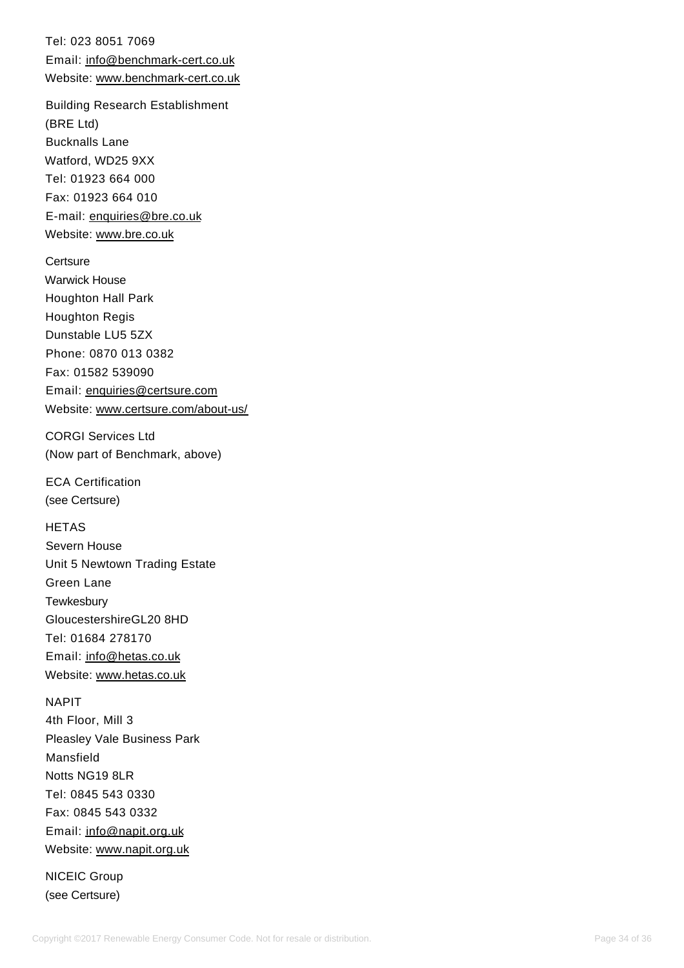Tel: 023 8051 7069 Email: [info@benchmark-cert.co.uk](mailto:info@benchmark-cert.co.uk) Website: [www.benchmark-cert.co.uk](http://www.benchmark-cert.co.uk/)

Building Research Establishment (BRE Ltd) Bucknalls Lane Watford, WD25 9XX Tel: 01923 664 000 Fax: 01923 664 010 E-mail: [enquiries@bre.co.uk](mailto:enquiries@bre.co.uk) Website: [www.bre.co.uk](http://www.bre.co.uk/)

**Certsure** Warwick House Houghton Hall Park Houghton Regis Dunstable LU5 5ZX Phone: 0870 013 0382 Fax: 01582 539090 Email: [enquiries@certsure.com](mailto:enquiries@certsure.com) Website: [www.certsure.com/about-us/](https://www.recc.org.uk/scheme/www.certsure.com/about-us/)

CORGI Services Ltd (Now part of Benchmark, above)

ECA Certification (see Certsure)

**HETAS** Severn House Unit 5 Newtown Trading Estate Green Lane **Tewkesbury** GloucestershireGL20 8HD Tel: 01684 278170 Email: [info@hetas.co.uk](mailto:info@hetas.co.uk) Website: [www.hetas.co.uk](https://www.hetas.co.uk/)

NAPIT 4th Floor, Mill 3 Pleasley Vale Business Park Mansfield Notts NG19 8LR Tel: 0845 543 0330 Fax: 0845 543 0332 Email: [info@napit.org.uk](mailto:info@napit.org.uk) Website: [www.napit.org.uk](https://www.napit.org.uk/)

NICEIC Group (see Certsure)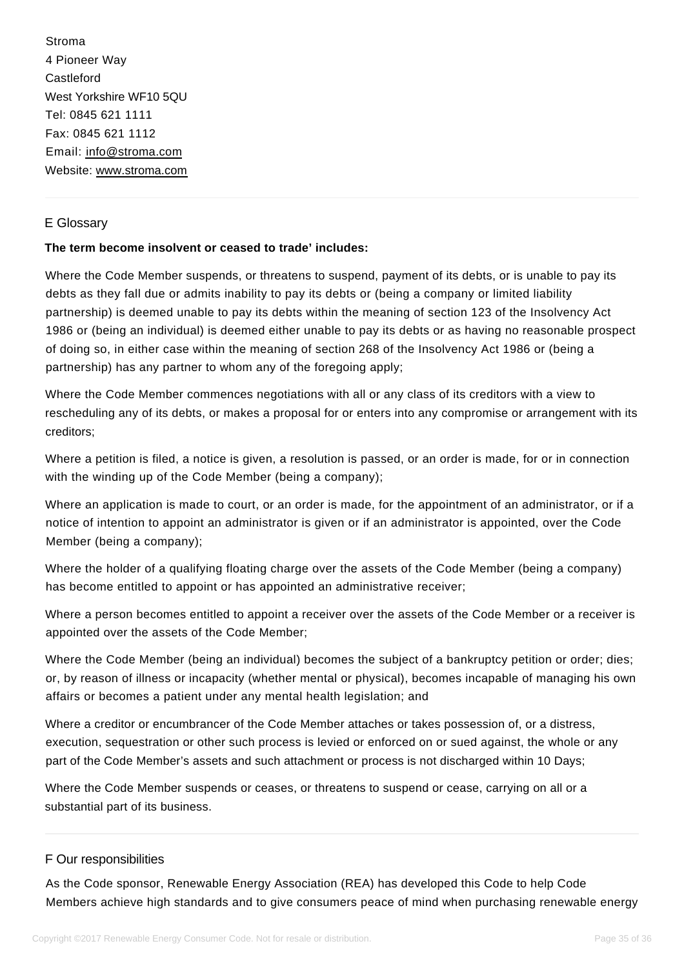Stroma 4 Pioneer Way **Castleford** West Yorkshire WF10 5QU Tel: 0845 621 1111 Fax: 0845 621 1112 Email: [info@stroma.com](mailto:info@stroma.com) Website: [www.stroma.com](http://www.stroma.com/)

### E Glossary

#### **The term become insolvent or ceased to trade' includes:**

<span id="page-34-0"></span>Where the Code Member suspends, or threatens to suspend, payment of its debts, or is unable to pay its debts as they fall due or admits inability to pay its debts or (being a company or limited liability partnership) is deemed unable to pay its debts within the meaning of section 123 of the Insolvency Act 1986 or (being an individual) is deemed either unable to pay its debts or as having no reasonable prospect of doing so, in either case within the meaning of section 268 of the Insolvency Act 1986 or (being a partnership) has any partner to whom any of the foregoing apply;

Where the Code Member commences negotiations with all or any class of its creditors with a view to rescheduling any of its debts, or makes a proposal for or enters into any compromise or arrangement with its creditors;

Where a petition is filed, a notice is given, a resolution is passed, or an order is made, for or in connection with the winding up of the Code Member (being a company);

Where an application is made to court, or an order is made, for the appointment of an administrator, or if a notice of intention to appoint an administrator is given or if an administrator is appointed, over the Code Member (being a company);

Where the holder of a qualifying floating charge over the assets of the Code Member (being a company) has become entitled to appoint or has appointed an administrative receiver;

Where a person becomes entitled to appoint a receiver over the assets of the Code Member or a receiver is appointed over the assets of the Code Member;

Where the Code Member (being an individual) becomes the subject of a bankruptcy petition or order; dies; or, by reason of illness or incapacity (whether mental or physical), becomes incapable of managing his own affairs or becomes a patient under any mental health legislation; and

Where a creditor or encumbrancer of the Code Member attaches or takes possession of, or a distress, execution, sequestration or other such process is levied or enforced on or sued against, the whole or any part of the Code Member's assets and such attachment or process is not discharged within 10 Days;

Where the Code Member suspends or ceases, or threatens to suspend or cease, carrying on all or a substantial part of its business.

### F Our responsibilities

<span id="page-34-1"></span>As the Code sponsor, Renewable Energy Association (REA) has developed this Code to help Code Members achieve high standards and to give consumers peace of mind when purchasing renewable energy